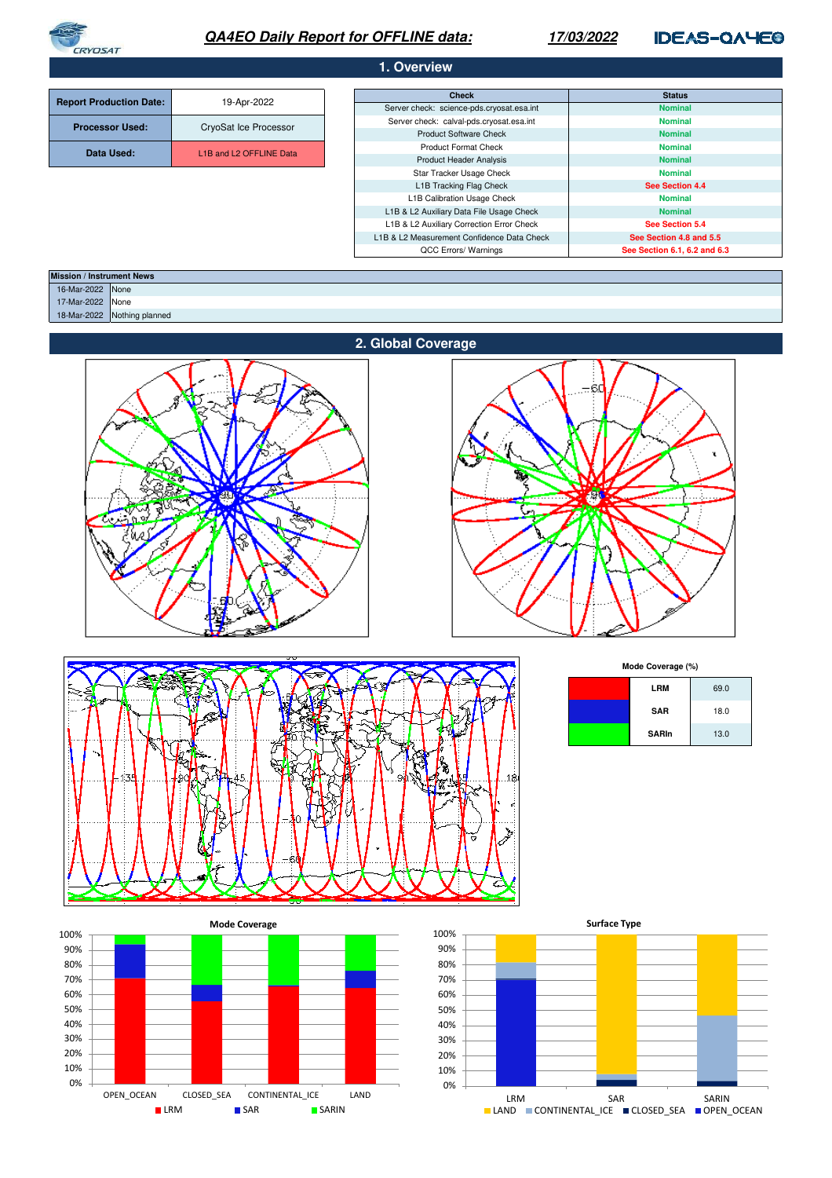

# **QA4EO Daily Report for OFFLINE data:**

# **17/03/2022**

# **IDEAS-QAYEO**

| 1. Overview                    |                                                  |                                            |                              |  |
|--------------------------------|--------------------------------------------------|--------------------------------------------|------------------------------|--|
|                                |                                                  |                                            |                              |  |
| <b>Report Production Date:</b> | 19-Apr-2022                                      | <b>Check</b>                               | <b>Status</b>                |  |
|                                |                                                  | Server check: science-pds.cryosat.esa.int  | <b>Nominal</b>               |  |
| <b>Processor Used:</b>         | CryoSat Ice Processor                            | Server check: calval-pds.cryosat.esa.int   | <b>Nominal</b>               |  |
|                                |                                                  | <b>Product Software Check</b>              | <b>Nominal</b>               |  |
| Data Used:                     | L <sub>1</sub> B and L <sub>2</sub> OFFLINE Data | <b>Product Format Check</b>                | <b>Nominal</b>               |  |
|                                |                                                  | <b>Product Header Analysis</b>             | <b>Nominal</b>               |  |
|                                |                                                  | Star Tracker Usage Check                   | <b>Nominal</b>               |  |
|                                |                                                  | L1B Tracking Flag Check                    | See Section 4.4              |  |
|                                |                                                  | L1B Calibration Usage Check                | <b>Nominal</b>               |  |
|                                |                                                  | L1B & L2 Auxiliary Data File Usage Check   | <b>Nominal</b>               |  |
|                                |                                                  | L1B & L2 Auxiliary Correction Error Check  | See Section 5.4              |  |
|                                |                                                  | L1B & L2 Measurement Confidence Data Check | See Section 4.8 and 5.5      |  |
|                                |                                                  | QCC Errors/ Warnings                       | See Section 6.1, 6.2 and 6.3 |  |

| <b>Mission / Instrument News</b> |                             |
|----------------------------------|-----------------------------|
| 16-Mar-2022 None                 |                             |
| 17-Mar-2022 None                 |                             |
|                                  | 18-Mar-2022 Nothing planned |
|                                  |                             |







**Mode Coverage (%)**

| LRM          | 69.0 |
|--------------|------|
| <b>SAR</b>   | 18.0 |
| <b>SARIn</b> | 13.0 |



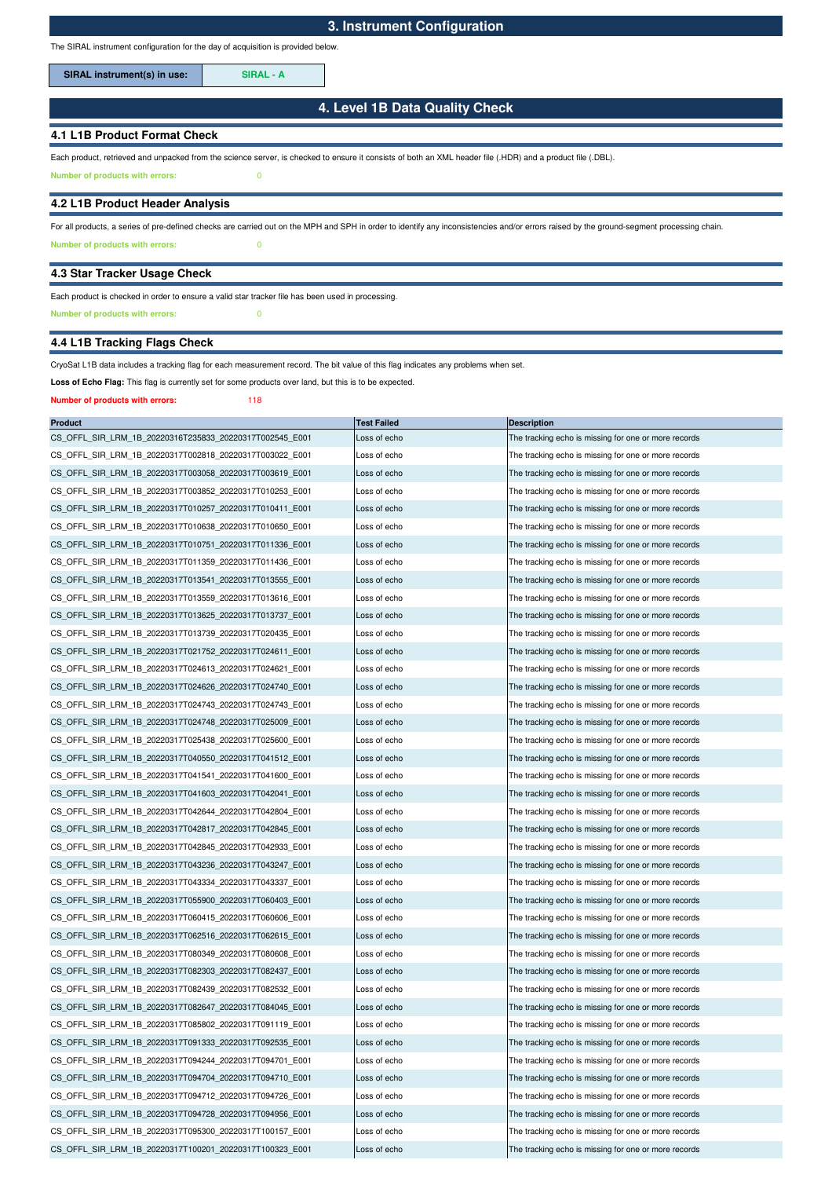The SIRAL instrument configuration for the day of acquisition is provided below.

**SIRAL instrument(s) in use: SIRAL - A**

## **4. Level 1B Data Quality Check**

## **4.1 L1B Product Format Check**

Each product, retrieved and unpacked from the science server, is checked to ensure it consists of both an XML header file (.HDR) and a product file (.DBL).

**Number of products with errors:** 0

### **4.2 L1B Product Header Analysis**

**Number of products with errors:** 0 For all products, a series of pre-defined checks are carried out on the MPH and SPH in order to identify any inconsistencies and/or errors raised by the ground-segment processing chain.

#### **4.3 Star Tracker Usage Check**

## Each product is checked in order to ensure a valid star tracker file has been used in processing.

**Number of products with errors:** 0

# **4.4 L1B Tracking Flags Check**

#### CryoSat L1B data includes a tracking flag for each measurement record. The bit value of this flag indicates any problems when set.

**Loss of Echo Flag:** This flag is currently set for some products over land, but this is to be expected.

#### **Number of products with errors:** 118

| <b>Product</b>                                          | <b>Test Failed</b> | <b>Description</b>                                   |
|---------------------------------------------------------|--------------------|------------------------------------------------------|
| CS OFFL SIR LRM 1B 20220316T235833 20220317T002545 E001 | Loss of echo       | The tracking echo is missing for one or more records |
| CS_OFFL_SIR_LRM_1B_20220317T002818_20220317T003022_E001 | Loss of echo       | The tracking echo is missing for one or more records |
| CS_OFFL_SIR_LRM_1B_20220317T003058_20220317T003619_E001 | Loss of echo       | The tracking echo is missing for one or more records |
| CS OFFL SIR LRM 1B 20220317T003852 20220317T010253 E001 | Loss of echo       | The tracking echo is missing for one or more records |
| CS_OFFL_SIR_LRM_1B_20220317T010257_20220317T010411_E001 | Loss of echo       | The tracking echo is missing for one or more records |
| CS_OFFL_SIR_LRM_1B_20220317T010638_20220317T010650_E001 | Loss of echo       | The tracking echo is missing for one or more records |
| CS_OFFL_SIR_LRM_1B_20220317T010751_20220317T011336_E001 | Loss of echo       | The tracking echo is missing for one or more records |
| CS OFFL SIR LRM 1B 20220317T011359 20220317T011436 E001 | Loss of echo       | The tracking echo is missing for one or more records |
| CS_OFFL_SIR_LRM_1B_20220317T013541_20220317T013555_E001 | Loss of echo       | The tracking echo is missing for one or more records |
| CS OFFL SIR LRM 1B 20220317T013559 20220317T013616 E001 | Loss of echo       | The tracking echo is missing for one or more records |
| CS_OFFL_SIR_LRM_1B_20220317T013625_20220317T013737_E001 | Loss of echo       | The tracking echo is missing for one or more records |
| CS_OFFL_SIR_LRM_1B_20220317T013739_20220317T020435_E001 | Loss of echo       | The tracking echo is missing for one or more records |
| CS_OFFL_SIR_LRM_1B_20220317T021752_20220317T024611_E001 | Loss of echo       | The tracking echo is missing for one or more records |
| CS_OFFL_SIR_LRM_1B_20220317T024613_20220317T024621_E001 | Loss of echo       | The tracking echo is missing for one or more records |
| CS_OFFL_SIR_LRM_1B_20220317T024626_20220317T024740_E001 | Loss of echo       | The tracking echo is missing for one or more records |
| CS_OFFL_SIR_LRM_1B_20220317T024743_20220317T024743_E001 | Loss of echo       | The tracking echo is missing for one or more records |
| CS_OFFL_SIR_LRM_1B_20220317T024748_20220317T025009_E001 | Loss of echo       | The tracking echo is missing for one or more records |
| CS_OFFL_SIR_LRM_1B_20220317T025438_20220317T025600_E001 | Loss of echo       | The tracking echo is missing for one or more records |
| CS_OFFL_SIR_LRM_1B_20220317T040550_20220317T041512_E001 | Loss of echo       | The tracking echo is missing for one or more records |
| CS OFFL SIR LRM 1B 20220317T041541 20220317T041600 E001 | Loss of echo       | The tracking echo is missing for one or more records |
| CS_OFFL_SIR_LRM_1B_20220317T041603_20220317T042041_E001 | Loss of echo       | The tracking echo is missing for one or more records |
| CS_OFFL_SIR_LRM_1B_20220317T042644_20220317T042804_E001 | Loss of echo       | The tracking echo is missing for one or more records |
| CS_OFFL_SIR_LRM_1B_20220317T042817_20220317T042845_E001 | Loss of echo       | The tracking echo is missing for one or more records |
| CS OFFL SIR LRM 1B 20220317T042845 20220317T042933 E001 | Loss of echo       | The tracking echo is missing for one or more records |
| CS_OFFL_SIR_LRM_1B_20220317T043236_20220317T043247_E001 | Loss of echo       | The tracking echo is missing for one or more records |
| CS_OFFL_SIR_LRM_1B_20220317T043334_20220317T043337_E001 | Loss of echo       | The tracking echo is missing for one or more records |
| CS_OFFL_SIR_LRM_1B_20220317T055900_20220317T060403_E001 | Loss of echo       | The tracking echo is missing for one or more records |
| CS_OFFL_SIR_LRM_1B_20220317T060415_20220317T060606_E001 | Loss of echo       | The tracking echo is missing for one or more records |
| CS_OFFL_SIR_LRM_1B_20220317T062516_20220317T062615_E001 | Loss of echo       | The tracking echo is missing for one or more records |
| CS_OFFL_SIR_LRM_1B_20220317T080349_20220317T080608_E001 | Loss of echo       | The tracking echo is missing for one or more records |
| CS_OFFL_SIR_LRM_1B_20220317T082303_20220317T082437_E001 | Loss of echo       | The tracking echo is missing for one or more records |
| CS_OFFL_SIR_LRM_1B_20220317T082439_20220317T082532_E001 | Loss of echo       | The tracking echo is missing for one or more records |
| CS OFFL SIR LRM 1B 20220317T082647 20220317T084045 E001 | Loss of echo       | The tracking echo is missing for one or more records |
| CS OFFL SIR LRM 1B 20220317T085802 20220317T091119 E001 | Loss of echo       | The tracking echo is missing for one or more records |
| CS_OFFL_SIR_LRM_1B_20220317T091333_20220317T092535_E001 | Loss of echo       | The tracking echo is missing for one or more records |
| CS OFFL SIR LRM 1B 20220317T094244 20220317T094701 E001 | Loss of echo       | The tracking echo is missing for one or more records |
| CS OFFL SIR LRM 1B 20220317T094704 20220317T094710 E001 | Loss of echo       | The tracking echo is missing for one or more records |
| CS_OFFL_SIR_LRM_1B_20220317T094712_20220317T094726_E001 | Loss of echo       | The tracking echo is missing for one or more records |
| CS OFFL SIR LRM 1B 20220317T094728 20220317T094956 E001 | Loss of echo       | The tracking echo is missing for one or more records |
| CS OFFL SIR LRM 1B 20220317T095300 20220317T100157 E001 | Loss of echo       | The tracking echo is missing for one or more records |
| CS OFFL SIR LRM 1B 20220317T100201 20220317T100323 E001 | Loss of echo       | The tracking echo is missing for one or more records |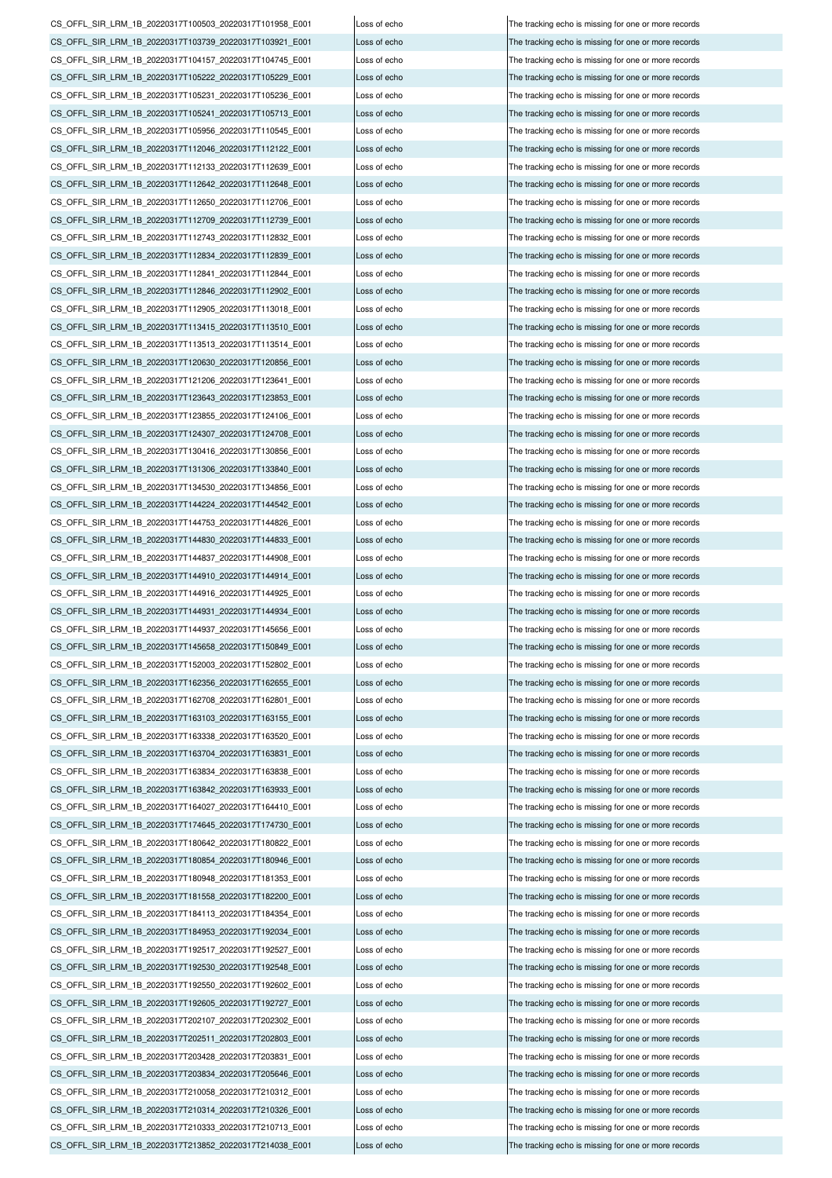CS\_OFFL\_SIR\_LRM\_1B\_20220317T100503\_20220317T101958\_E001 Loss of echo The tracking echo is missing for one or more records CS\_OFFL\_SIR\_LRM\_1B\_20220317T103739\_20220317T103921\_E001 Loss of echo The tracking echo is missing for one or more records CS\_OFFL\_SIR\_LRM\_1B\_20220317T104157\_20220317T104745\_E001 Loss of echo The tracking echo is missing for one or more records CS\_OFFL\_SIR\_LRM\_1B\_20220317T105222\_20220317T105229\_E001 Loss of echo The tracking echo is missing for one or more records CS\_OFFL\_SIR\_LRM\_1B\_20220317T105231\_20220317T105236\_E001 Loss of echo The tracking echo is missing for one or more records CS\_OFFL\_SIR\_LRM\_1B\_20220317T105241\_20220317T105713\_E001 Loss of echo The tracking echo is missing for one or more records CS\_OFFL\_SIR\_LRM\_1B\_20220317T105956\_20220317T110545\_E001 Loss of echo The tracking echo is missing for one or more records CS\_OFFL\_SIR\_LRM\_1B\_20220317T112046\_20220317T112122\_E001 Loss of echo The tracking echo is missing for one or more records CS\_OFFL\_SIR\_LRM\_1B\_20220317T112133\_20220317T112639\_E001 Loss of echo The tracking echo is missing for one or more records CS\_OFFL\_SIR\_LRM\_1B\_20220317T112642\_20220317T112648\_E001 Loss of echo The tracking echo is missing for one or more records CS\_OFFL\_SIR\_LRM\_1B\_20220317T112650\_20220317T112706\_E001 Loss of echo The tracking echo is missing for one or more records CS\_OFFL\_SIR\_LRM\_1B\_20220317T112709\_20220317T112739\_E001 Loss of echo The tracking echo is missing for one or more records CS\_OFFL\_SIR\_LRM\_1B\_20220317T112743\_20220317T112832\_E001 Loss of echo The tracking echo is missing for one or more records CS\_OFFL\_SIR\_LRM\_1B\_20220317T112834\_20220317T112839\_E001 Loss of echo The tracking echo is missing for one or more records CS\_OFFL\_SIR\_LRM\_1B\_20220317T112841\_20220317T112844\_E001 Loss of echo The tracking echo is missing for one or more records CS\_OFFL\_SIR\_LRM\_1B\_20220317T112846\_20220317T112902\_E001 Loss of echo The tracking echo is missing for one or more records CS\_OFFL\_SIR\_LRM\_1B\_20220317T112905\_20220317T113018\_E001 Loss of echo The tracking echo is missing for one or more records CS\_OFFL\_SIR\_LRM\_1B\_20220317T113415\_20220317T113510\_E001 Loss of echo The tracking echo is missing for one or more records CS\_OFFL\_SIR\_LRM\_1B\_20220317T113513\_20220317T113514\_E001 Loss of echo The tracking echo is missing for one or more records CS\_OFFL\_SIR\_LRM\_1B\_20220317T120630\_20220317T120856\_E001 Loss of echo The tracking echo is missing for one or more records CS\_OFFL\_SIR\_LRM\_1B\_20220317T121206\_20220317T123641\_E001 Loss of echo The tracking echo is missing for one or more records CS\_OFFL\_SIR\_LRM\_1B\_20220317T123643\_20220317T123853\_E001 Loss of echo The tracking echo is missing for one or more records CS\_OFFL\_SIR\_LRM\_1B\_20220317T123855\_20220317T124106\_E001 Loss of echo The tracking echo is missing for one or more records CS\_OFFL\_SIR\_LRM\_1B\_20220317T124307\_20220317T124708\_E001 Loss of echo The tracking echo is missing for one or more records CS\_OFFL\_SIR\_LRM\_1B\_20220317T130416\_20220317T130856\_E001 Loss of echo The tracking echo is missing for one or more records CS\_OFFL\_SIR\_LRM\_1B\_20220317T131306\_20220317T133840\_E001 Loss of echo The tracking echo is missing for one or more records CS\_OFFL\_SIR\_LRM\_1B\_20220317T134530\_20220317T134856\_E001 Loss of echo The tracking echo is missing for one or more records CS\_OFFL\_SIR\_LRM\_1B\_20220317T144224\_20220317T144542\_E001 Loss of echo The tracking echo is missing for one or more records CS\_OFFL\_SIR\_LRM\_1B\_20220317T144753\_20220317T144826\_E001 Loss of echo The tracking echo is missing for one or more records CS\_OFFL\_SIR\_LRM\_1B\_20220317T144830\_20220317T144833\_E001 Loss of echo The tracking echo is missing for one or more records CS\_OFFL\_SIR\_LRM\_1B\_20220317T144837\_20220317T144908\_E001 Loss of echo The tracking echo is missing for one or more records CS\_OFFL\_SIR\_LRM\_1B\_20220317T144910\_20220317T144914\_E001 Loss of echo The tracking echo is missing for one or more records CS\_OFFL\_SIR\_LRM\_1B\_20220317T144916\_20220317T144925\_E001 Loss of echo The tracking echo is missing for one or more records CS\_OFFL\_SIR\_LRM\_1B\_20220317T144931\_20220317T144934\_E001 Loss of echo The tracking echo is missing for one or more records CS\_OFFL\_SIR\_LRM\_1B\_20220317T144937\_20220317T145656\_E001 Loss of echo The tracking echo is missing for one or more records CS\_OFFL\_SIR\_LRM\_1B\_20220317T145658\_20220317T150849\_E001 Loss of echo The tracking echo is missing for one or more records CS\_OFFL\_SIR\_LRM\_1B\_20220317T152003\_20220317T152802\_E001 Loss of echo The tracking echo is missing for one or more records CS\_OFFL\_SIR\_LRM\_1B\_20220317T162356\_20220317T162655\_E001 Loss of echo The tracking echo is missing for one or more records CS\_OFFL\_SIR\_LRM\_1B\_20220317T162708\_20220317T162801\_E001 Loss of echo The tracking echo is missing for one or more records CS\_OFFL\_SIR\_LRM\_1B\_20220317T163103\_20220317T163155\_E001 Loss of echo The tracking echo is missing for one or more records CS\_OFFL\_SIR\_LRM\_1B\_20220317T163338\_20220317T163520\_E001 Loss of echo The tracking echo is missing for one or more records CS\_OFFL\_SIR\_LRM\_1B\_20220317T163704\_20220317T163831\_E001 Loss of echo The tracking echo is missing for one or more records CS\_OFFL\_SIR\_LRM\_1B\_20220317T163834\_20220317T163838\_E001 Loss of echo The tracking echo is missing for one or more records CS\_OFFL\_SIR\_LRM\_1B\_20220317T163842\_20220317T163933\_E001 Loss of echo The tracking echo is missing for one or more records CS\_OFFL\_SIR\_LRM\_1B\_20220317T164027\_20220317T164410\_E001 Loss of echo The tracking echo is missing for one or more records CS\_OFFL\_SIR\_LRM\_1B\_20220317T174645\_20220317T174730\_E001 Loss of echo The tracking echo is missing for one or more records CS\_OFFL\_SIR\_LRM\_1B\_20220317T180642\_20220317T180822\_E001 Loss of echo The tracking echo is missing for one or more records CS\_OFFL\_SIR\_LRM\_1B\_20220317T180854\_20220317T180946\_E001 Loss of echo The tracking echo is missing for one or more records CS\_OFFL\_SIR\_LRM\_1B\_20220317T180948\_20220317T181353\_E001 Loss of echo The tracking echo is missing for one or more records CS\_OFFL\_SIR\_LRM\_1B\_20220317T181558\_20220317T182200\_E001 Loss of echo The tracking echo is missing for one or more records CS\_OFFL\_SIR\_LRM\_1B\_20220317T184113\_20220317T184354\_E001 Loss of echo The tracking echo is missing for one or more records CS\_OFFL\_SIR\_LRM\_1B\_20220317T184953\_20220317T192034\_E001 Loss of echo The tracking echo is missing for one or more records CS\_OFFL\_SIR\_LRM\_1B\_20220317T192517\_20220317T192527\_E001 Loss of echo CS\_OFFL\_SIR\_LRM\_1B\_20220317T192530\_20220317T192548\_E001 Loss of echo The tracking echo is missing for one or more records CS\_OFFL\_SIR\_LRM\_1B\_20220317T192550\_20220317T192602\_E001 Loss of echo The tracking echo is missing for one or more records CS\_OFFL\_SIR\_LRM\_1B\_20220317T192605\_20220317T192727\_E001 Loss of echo The tracking echo is missing for one or more records CS\_OFFL\_SIR\_LRM\_1B\_20220317T202107\_20220317T202302\_E001 Loss of echo The tracking echo is missing for one or more records CS\_OFFL\_SIR\_LRM\_1B\_20220317T202511\_20220317T202803\_E001 Loss of echo The tracking echo is missing for one or more records CS\_OFFL\_SIR\_LRM\_1B\_20220317T203428\_20220317T203831\_E001 Loss of echo The tracking echo is missing for one or more records CS\_OFFL\_SIR\_LRM\_1B\_20220317T203834\_20220317T205646\_E001 Loss of echo The tracking echo is missing for one or more records CS\_OFFL\_SIR\_LRM\_1B\_20220317T210058\_20220317T210312\_E001 Loss of echo The tracking echo is missing for one or more records CS\_OFFL\_SIR\_LRM\_1B\_20220317T210314\_20220317T210326\_E001 Loss of echo The tracking echo is missing for one or more records CS\_OFFL\_SIR\_LRM\_1B\_20220317T210333\_20220317T210713\_E001 Loss of echo The tracking echo is missing for one or more records CS\_OFFL\_SIR\_LRM\_1B\_20220317T213852\_20220317T214038\_E001 Loss of echo

The tracking echo is missing for one or more records The tracking echo is missing for one or more records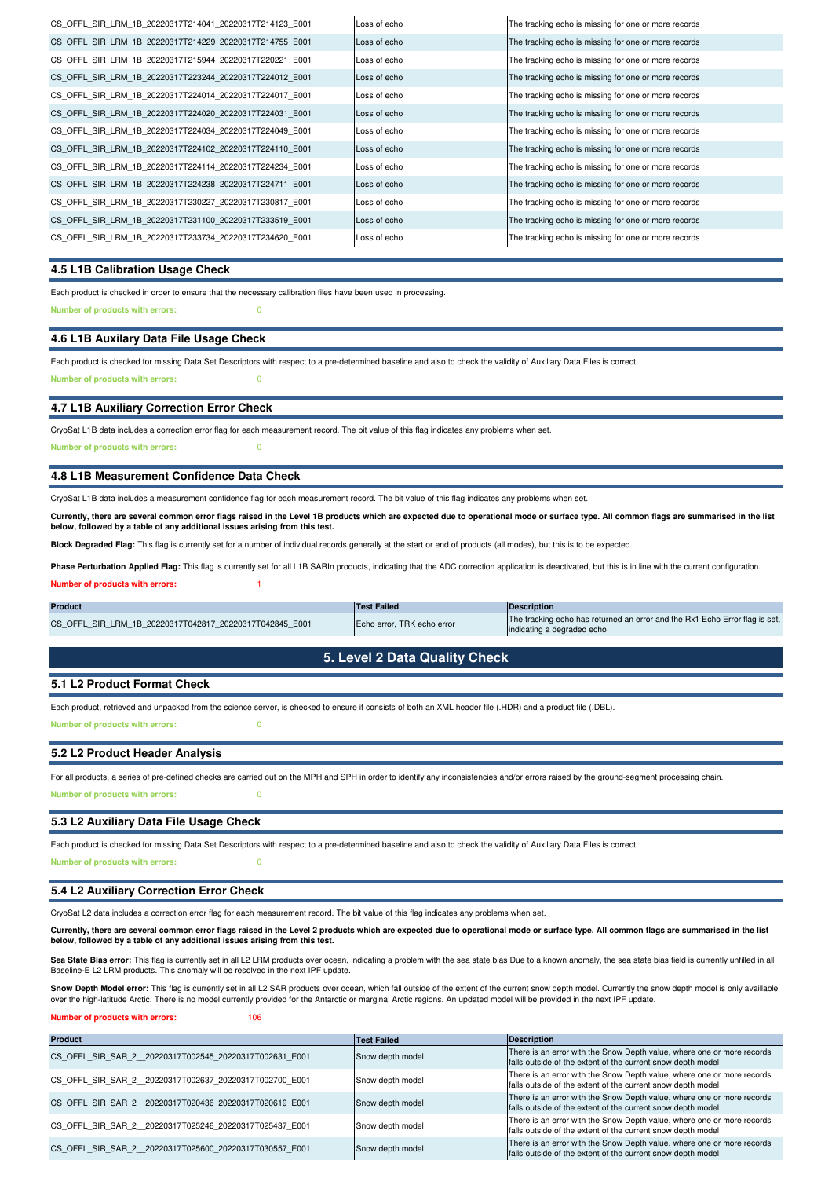| CS OFFL SIR LRM 1B 20220317T214041 20220317T214123 E001 | Loss of echo | The tracking echo is missing for one or more records |
|---------------------------------------------------------|--------------|------------------------------------------------------|
| CS OFFL SIR LRM 1B 20220317T214229 20220317T214755 E001 | Loss of echo | The tracking echo is missing for one or more records |
| CS OFFL SIR LRM 1B 20220317T215944 20220317T220221 E001 | Loss of echo | The tracking echo is missing for one or more records |
| CS OFFL SIR LRM 1B 20220317T223244 20220317T224012 E001 | Loss of echo | The tracking echo is missing for one or more records |
| CS OFFL SIR LRM 1B 20220317T224014 20220317T224017 E001 | Loss of echo | The tracking echo is missing for one or more records |
| CS OFFL SIR LRM 1B 20220317T224020 20220317T224031 E001 | Loss of echo | The tracking echo is missing for one or more records |
| CS OFFL SIR LRM 1B 20220317T224034 20220317T224049 E001 | Loss of echo | The tracking echo is missing for one or more records |
| CS OFFL SIR LRM 1B 20220317T224102 20220317T224110 E001 | Loss of echo | The tracking echo is missing for one or more records |
| CS OFFL SIR LRM 1B 20220317T224114 20220317T224234 E001 | Loss of echo | The tracking echo is missing for one or more records |
| CS OFFL SIR LRM 1B 20220317T224238 20220317T224711 E001 | Loss of echo | The tracking echo is missing for one or more records |
| CS OFFL SIR LRM 1B 20220317T230227 20220317T230817 E001 | Loss of echo | The tracking echo is missing for one or more records |
| CS OFFL SIR LRM 1B 20220317T231100 20220317T233519 E001 | Loss of echo | The tracking echo is missing for one or more records |
| CS OFFL SIR LRM 1B 20220317T233734 20220317T234620 E001 | Loss of echo | The tracking echo is missing for one or more records |
|                                                         |              |                                                      |

## **4.5 L1B Calibration Usage Check**

Each product is checked in order to ensure that the necessary calibration files have been used in processing.

**Number of products with errors:** 0

## **4.6 L1B Auxilary Data File Usage Check**

Each product is checked for missing Data Set Descriptors with respect to a pre-determined baseline and also to check the validity of Auxiliary Data Files is correct. **Number of products with errors:** 0

#### **4.7 L1B Auxiliary Correction Error Check**

CryoSat L1B data includes a correction error flag for each measurement record. The bit value of this flag indicates any problems when set.

**Number of products with errors:** 0

#### **4.8 L1B Measurement Confidence Data Check**

CryoSat L1B data includes a measurement confidence flag for each measurement record. The bit value of this flag indicates any problems when set.

**Currently, there are several common error flags raised in the Level 1B products which are expected due to operational mode or surface type. All common flags are summarised in the list below, followed by a table of any additional issues arising from this test.**

**Block Degraded Flag:** This flag is currently set for a number of individual records generally at the start or end of products (all modes), but this is to be expected.

Phase Perturbation Applied Flag: This flag is currently set for all L1B SARIn products, indicating that the ADC correction application is deactivated, but this is in line with the current configuration.

#### **Number of products with errors:**

| <b>Product</b>                                          | <b>Test Failed</b>         | Description                                                                                               |
|---------------------------------------------------------|----------------------------|-----------------------------------------------------------------------------------------------------------|
| CS OFFL SIR LRM 1B 20220317T042817 20220317T042845 E001 | Echo error. TRK echo error | The tracking echo has returned an error and the Rx1 Echo Error flag is set,<br>indicating a degraded echo |

## **5. Level 2 Data Quality Check**

## **5.1 L2 Product Format Check**

Each product, retrieved and unpacked from the science server, is checked to ensure it consists of both an XML header file (.HDR) and a product file (.DBL).

**Number of products with errors:** 0

#### **5.2 L2 Product Header Analysis**

**Number of products with errors:** 0 For all products, a series of pre-defined checks are carried out on the MPH and SPH in order to identify any inconsistencies and/or errors raised by the ground-segment processing chain.

## **5.3 L2 Auxiliary Data File Usage Check**

Each product is checked for missing Data Set Descriptors with respect to a pre-determined baseline and also to check the validity of Auxiliary Data Files is correct.

**Number of products with errors:** 0

### **5.4 L2 Auxiliary Correction Error Check**

CryoSat L2 data includes a correction error flag for each measurement record. The bit value of this flag indicates any problems when set.

**Currently, there are several common error flags raised in the Level 2 products which are expected due to operational mode or surface type. All common flags are summarised in the list below, followed by a table of any additional issues arising from this test.**

Sea State Bias error: This flag is currently set in all L2 LRM products over ocean, indicating a problem with the sea state bias fou on a known anomaly, the sea state bias field is currently unfilled in all Baseline-E L2 LRM products. This anomaly will be resolved in the next IPF update.

Snow Depth Model error: This flag is currently set in all L2 SAR products over ocean, which fall outside of the extent of the current snow depth model. Currently the snow depth model is only availlable over the high-latitude Arctic. There is no model currently provided for the Antarctic or marginal Arctic regions. An updated model will be provided in the next IPF update.

**Number of products with errors:** 106

| Product                                                | <b>Test Failed</b> | <b>Description</b>                                                                                                                    |
|--------------------------------------------------------|--------------------|---------------------------------------------------------------------------------------------------------------------------------------|
| CS OFFL SIR SAR 2 20220317T002545 20220317T002631 E001 | Snow depth model   | There is an error with the Snow Depth value, where one or more records<br>falls outside of the extent of the current snow depth model |
| CS OFFL SIR SAR 2 20220317T002637 20220317T002700 E001 | Snow depth model   | There is an error with the Snow Depth value, where one or more records<br>falls outside of the extent of the current snow depth model |
| CS OFFL SIR SAR 2 20220317T020436 20220317T020619 E001 | Snow depth model   | There is an error with the Snow Depth value, where one or more records<br>falls outside of the extent of the current snow depth model |
| CS OFFL SIR SAR 2 20220317T025246 20220317T025437 E001 | Snow depth model   | There is an error with the Snow Depth value, where one or more records<br>falls outside of the extent of the current snow depth model |
| CS OFFL SIR SAR 2 20220317T025600 20220317T030557 E001 | Snow depth model   | There is an error with the Snow Depth value, where one or more records<br>falls outside of the extent of the current snow depth model |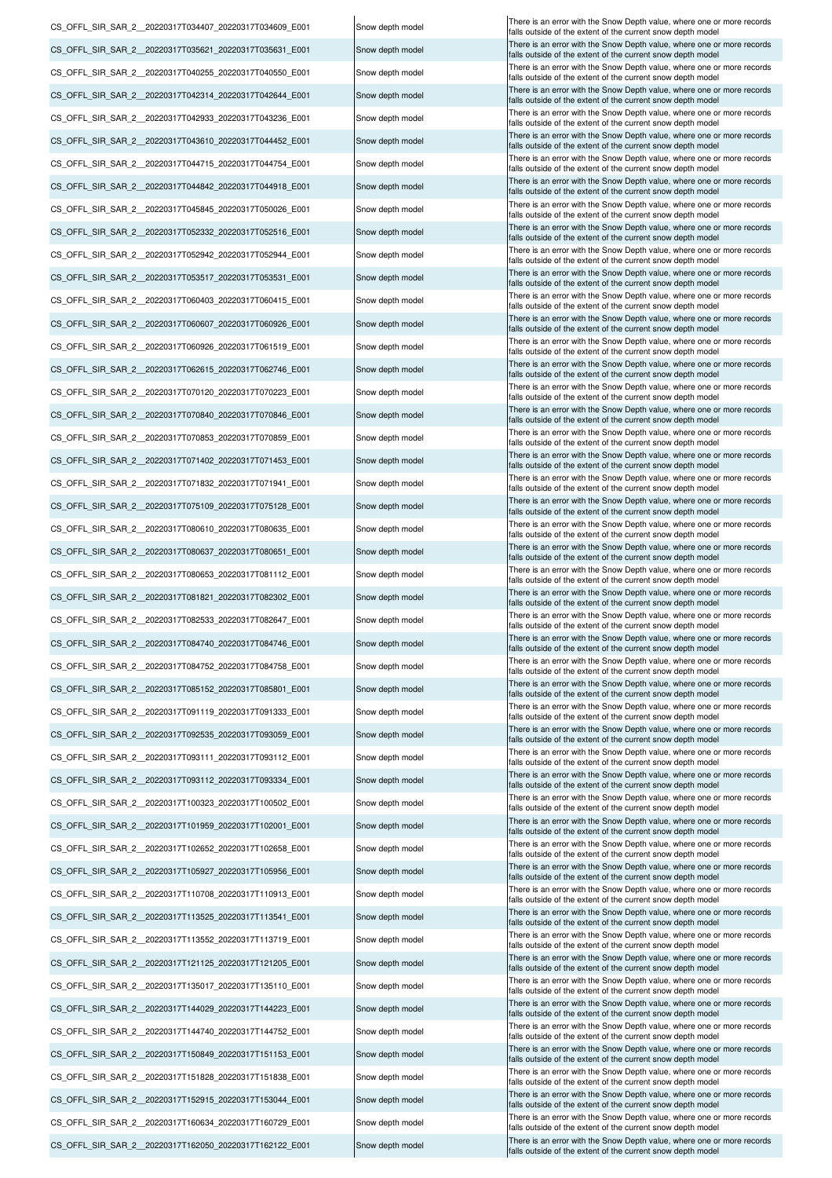CS\_OFFL\_SIR\_SAR\_2\_\_20220317T162050\_20220317T162122\_E001 Snow depth model There is an error with the Snow Depth value, where one or more records CS\_OFFL\_SIR\_SAR\_2\_20220317T144029\_20220317T144223\_E001 Snow depth model There is an error with the Snow Depth value, where one or more records CS\_OFFL\_SIR\_SAR\_2\_20220317T144740\_20220317T144752\_E001 Snow depth model There is an error with the Snow Depth value, where one or more records CS\_OFFL\_SIR\_SAR\_2\_20220317T150849\_20220317T151153\_E001 Snow depth model There is an error with the Snow Depth value, where one or more records CS\_OFFL\_SIR\_SAR\_2\_20220317T151828\_20220317T151838\_E001 Snow depth model There is an error with the Snow Depth value, where one or more records CS\_OFFL\_SIR\_SAR\_2\_20220317T152915\_20220317T153044\_E001 Snow depth model There is an error with the Snow Depth value, where one or more records CS\_OFFL\_SIR\_SAR\_2\_20220317T160634\_20220317T160729\_E001 Snow depth model There is an error with the Snow Depth value, where one or more records CS\_OFFL\_SIR\_SAR\_2\_\_20220317T105927\_20220317T105956\_E001 Snow depth model There is an error with the Snow Depth value, where one or more records CS\_OFFL\_SIR\_SAR\_2\_\_20220317T110708\_20220317T110913\_E001 Snow depth model There is an error with the Snow Depth value, where one or more records Snow depth model falls outside of the extent of the current snow depth model CS\_OFFL\_SIR\_SAR\_2\_\_20220317T113525\_20220317T113541\_E001 Snow depth model There is an error with the Snow Depth value, where one or more records CS\_OFFL\_SIR\_SAR\_2\_20220317T113552\_20220317T113719\_E001 Snow depth model There is an error with the Snow Depth value, where one or more records CS\_OFFL\_SIR\_SAR\_2\_20220317T121125\_20220317T121205\_E001 Snow depth model There is an error with the Snow Depth value, where one or more records CS\_OFFL\_SIR\_SAR\_2\_\_20220317T135017\_20220317T135110\_E001 Snow depth model There is an error with the Snow Depth value, where one or more records CS\_OFFL\_SIR\_SAR\_2\_\_20220317T092535\_20220317T093059\_E001 Snow depth model There is an error with the Snow Depth value, where one or more records CS\_OFFL\_SIR\_SAR\_2\_\_20220317T093111\_20220317T093112\_E001 Snow depth model There is an error with the Snow Depth value, where one or more records CS\_OFFL\_SIR\_SAR\_2\_\_20220317T093112\_20220317T093334\_E001 Snow depth model There is an error with the Snow Depth value, where one or more records CS\_OFFL\_SIR\_SAR\_2\_20220317T100323\_20220317T100502\_E001 Snow depth model There is an error with the Snow Depth value, where one or more records CS\_OFFL\_SIR\_SAR\_2\_20220317T101959\_20220317T102001\_E001 Snow depth model There is an error with the Snow Depth value, where one or more records CS\_OFFL\_SIR\_SAR\_2\_\_20220317T102652\_20220317T102658\_E001 Snow depth model There is an error with the Snow Depth value, where one or more records CS\_OFFL\_SIR\_SAR\_2\_20220317T081821\_20220317T082302\_E001 Snow depth model There is an error with the Snow Depth value, where one or more records CS\_OFFL\_SIR\_SAR\_2\_20220317T082533\_20220317T082647\_E001 Snow depth model There is an error with the Snow Depth value, where one or more records CS\_OFFL\_SIR\_SAR\_2\_\_20220317T084740\_20220317T084746\_E001 Snow depth model There is an error with the Snow Depth value, where one or more records CS\_OFFL\_SIR\_SAR\_2\_\_20220317T084752\_20220317T084758\_E001 Snow depth model There is an error with the Snow Depth value, where one or more records CS\_OFFL\_SIR\_SAR\_2\_20220317T085152\_20220317T085801\_E001 Snow depth model There is an error with the Snow Depth value, where one or more records CS\_OFFL\_SIR\_SAR\_2\_20220317T091119\_20220317T091333\_E001 Snow depth model There is an error with the Snow Depth value, where one or more records CS\_OFFL\_SIR\_SAR\_2\_\_20220317T043610\_20220317T044452\_E001 CS\_OFFL\_SIR\_SAR\_2\_\_20220317T044715\_20220317T044754\_E001 CS\_OFFL\_SIR\_SAR\_2\_\_20220317T044842\_20220317T044918\_E001 CS\_OFFL\_SIR\_SAR\_2\_\_20220317T045845\_20220317T050026\_E001 CS\_OFFL\_SIR\_SAR\_2\_\_20220317T052332\_20220317T052516\_E001 CS\_OFFL\_SIR\_SAR\_2\_\_20220317T071832\_20220317T071941\_E001 CS\_OFFL\_SIR\_SAR\_2\_\_20220317T053517\_20220317T053531\_E001 CS\_OFFL\_SIR\_SAR\_2\_\_20220317T060403\_20220317T060415\_E001 CS\_OFFL\_SIR\_SAR\_2\_\_20220317T060607\_20220317T060926\_E001 CS\_OFFL\_SIR\_SAR\_2\_\_20220317T062615\_20220317T062746\_E001 CS\_OFFL\_SIR\_SAR\_2\_\_20220317T070120\_20220317T070223\_E001 CS\_OFFL\_SIR\_SAR\_2\_\_20220317T070840\_20220317T070846\_E001 CS\_OFFL\_SIR\_SAR\_2\_\_20220317T070853\_20220317T070859\_E001 CS\_OFFL\_SIR\_SAR\_2\_\_20220317T071402\_20220317T071453\_E001 CS\_OFFL\_SIR\_SAR\_2\_\_20220317T042314\_20220317T042644\_E001 CS\_OFFL\_SIR\_SAR\_2\_\_20220317T052942\_20220317T052944\_E001 CS\_OFFL\_SIR\_SAR\_2\_\_20220317T060926\_20220317T061519\_E001 CS\_OFFL\_SIR\_SAR\_2\_\_20220317T075109\_20220317T075128\_E001 CS\_OFFL\_SIR\_SAR\_2\_\_20220317T080610\_20220317T080635\_E001 CS\_OFFL\_SIR\_SAR\_2\_\_20220317T080637\_20220317T080651\_E001 CS\_OFFL\_SIR\_SAR\_2\_\_20220317T080653\_20220317T081112\_E001 CS\_OFFL\_SIR\_SAR\_2\_\_20220317T034407\_20220317T034609\_E001 CS\_OFFL\_SIR\_SAR\_2\_\_20220317T035621\_20220317T035631\_E001 CS\_OFFL\_SIR\_SAR\_2\_\_20220317T040255\_20220317T040550\_E001 CS\_OFFL\_SIR\_SAR\_2\_\_20220317T042933\_20220317T043236\_E001

Snow depth model Snow depth model Snow depth model Snow depth model Snow depth model Snow depth model Snow depth model Snow depth model Snow depth model Snow depth model Snow depth model Snow depth model Snow depth model Snow depth model Snow depth model Snow depth model Snow depth model Snow depth model Snow depth model Snow depth model Snow depth model Snow depth model Snow depth model Snow depth model Snow depth model

falls outside of the extent of the current snow depth model falls outside of the extent of the current snow depth model alls outside of the extent of the current snow depth mode alls outside of the extent of the current snow depth model falls outside of the extent of the current snow depth model falls outside of the extent of the current snow depth model falls outside of the extent of the current snow depth model falls outside of the extent of the current snow depth model falls outside of the extent of the current snow depth model alls outside of the extent of the current snow depth model falls outside of the extent of the current snow depth model falls outside of the extent of the current snow depth mode falls outside of the extent of the current snow depth model falls outside of the extent of the current snow depth mode falls outside of the extent of the current snow depth mode falls outside of the extent of the current snow depth model falls outside of the extent of the current snow depth model falls outside of the extent of the current snow depth model falls outside of the extent of the current snow depth model falls outside of the extent of the current snow depth model falls outside of the extent of the current snow depth model falls outside of the extent of the current snow depth model falls outside of the extent of the current snow depth model falls outside of the extent of the current snow depth model There is an error with the Snow Depth value, where one or more records alls outside of the extent of the current snow depth mode There is an error with the Snow Depth value, where one or more records falls outside of the extent of the current snow depth mode There is an error with the Snow Depth value, where one or more records falls outside of the extent of the current snow depth model There is an error with the Snow Depth value, where one or more records falls outside of the extent of the current snow depth model There is an error with the Snow Depth value, where one or more records falls outside of the extent of the current snow depth model There is an error with the Snow Depth value, where one or mo falls outside of the extent of the current snow depth model There is an error with the Snow Depth value, where one or more records falls outside of the extent of the current snow depth model There is an error with the Snow Depth value, where one or more records falls outside of the extent of the current snow depth model There is an error with the Snow Depth value, where one or more records alls outside of the extent of the current snow depth model There is an error with the Snow Depth value, where one or more records alls outside of the extent of the current snow depth model There is an error with the Snow Depth value, where one or more records alls outside of the extent of the current snow depth mode There is an error with the Snow Depth value, where one or more records falls outside of the extent of the current snow depth model There is an error with the Snow Depth value, where one or more records alls outside of the extent of the current snow depth model There is an error with the Snow Depth value, where one or more records falls outside of the extent of the current snow depth mode There is an error with the Snow Depth value, where one or more records falls outside of the extent of the current snow depth model There is an error with the Snow Depth value, where one or more records falls outside of the extent of the current snow depth model There is an error with the Snow Depth value, where one or more records falls outside of the extent of the current snow depth model There is an error with the Snow Depth value, where one or more records alls outside of the extent of the current snow depth model There is an error with the Snow Depth value, where one or more records falls outside of the extent of the current snow depth model There is an error with the Snow Depth value, where one or more records falls outside of the extent of the current snow depth model There is an error with the Snow Depth value, where one or more records falls outside of the extent of the current snow depth model There is an error with the Snow Depth value, where one or more records falls outside of the extent of the current snow depth model There is an error with the Snow Depth value, where one or more records falls outside of the extent of the current snow depth mode There is an error with the Snow Depth value, where one or more records alls outside of the extent of the current snow depth model There is an error with the Snow Depth value, where one or more records falls outside of the extent of the current snow depth model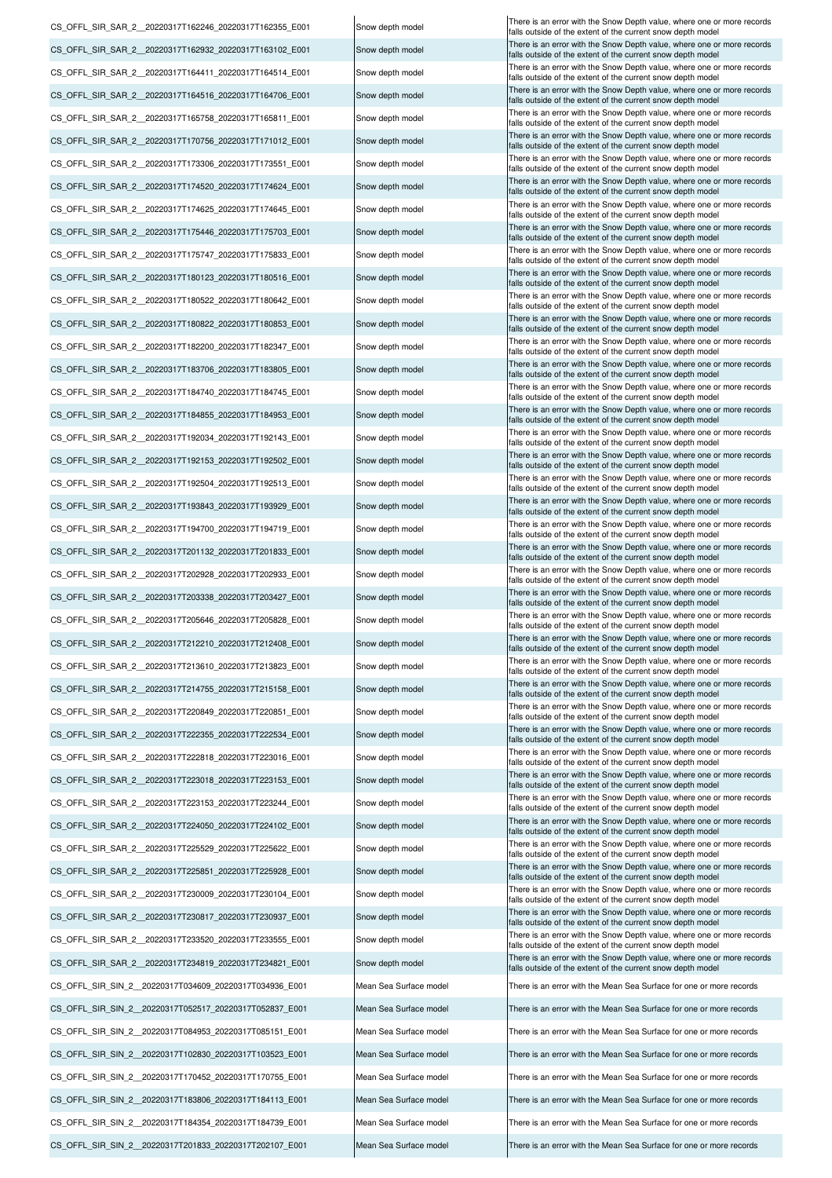CS\_OFFL\_SIR\_SAR\_2\_20220317T162932\_20220317T163102\_E001 Snow depth model There is an error with the Snow Depth value, where one or more records CS\_OFFL\_SIR\_SAR\_2\_20220317T164411\_20220317T164514\_E001 Snow depth model There is an error with the Snow Depth value, where one or more records CS\_OFFL\_SIR\_SAR\_2\_20220317T164516\_20220317T164706\_E001 Snow depth model There is an error with the Snow Depth value, where one or more records CS\_OFFL\_SIR\_SAR\_2\_20220317T165758\_20220317T165811\_E001 Snow depth model There is an error with the Snow Depth value, where one or more records CS\_OFFL\_SIR\_SAR\_2\_20220317T170756\_20220317T171012\_E001 Snow depth model There is an error with the Snow Depth value, where one or more records CS\_OFFL\_SIR\_SAR\_2\_\_20220317T173306\_20220317T173551\_E001 Snow depth model There is an error with the Snow Depth value, where one or more records CS\_OFFL\_SIR\_SAR\_2\_20220317T174520\_20220317T174624\_E001 Snow depth model There is an error with the Snow Depth value, where one or more records CS\_OFFL\_SIR\_SAR\_2\_20220317T174625\_20220317T174645\_E001 Snow depth model There is an error with the Snow Depth value, where one or more records CS\_OFFL\_SIR\_SAR\_2\_\_20220317T175446\_20220317T175703\_E001 Snow depth model CS\_OFFL\_SIR\_SAR\_2\_20220317T175747\_20220317T175833\_E001 Snow depth model There is an error with the Snow Depth value, where one or more records CS\_OFFL\_SIR\_SAR\_2\_20220317T201132\_20220317T201833\_E001 Snow depth model There is an error with the Snow Depth value, where one or more records CS\_OFFL\_SIR\_SAR\_2\_\_20220317T180123\_20220317T180516\_E001 Snow depth model There is an error with the Snow Depth value, where one or more records CS\_OFFL\_SIR\_SAR\_2\_20220317T180522\_20220317T180642\_E001 Snow depth model There is an error with the Snow Depth value, where one or more records CS\_OFFL\_SIR\_SAR\_2\_20220317T180822\_20220317T180853\_E001 Snow depth model There is an error with the Snow Depth value, where one or more records CS\_OFFL\_SIR\_SAR\_2\_\_20220317T182200\_20220317T182347\_E001 Snow depth model There is an error with the Snow Depth value, where one or more records CS\_OFFL\_SIR\_SAR\_2\_\_20220317T183706\_20220317T183805\_E001 Snow depth model There is an error with the Snow Depth value, where one or more records CS\_OFFL\_SIR\_SAR\_2\_20220317T184740\_20220317T184745\_E001 Snow depth model There is an error with the Snow Depth value, where one or more records CS\_OFFL\_SIR\_SAR\_2\_\_20220317T184855\_20220317T184953\_E001 Snow depth model There is an error with the Snow Depth value, where one or more records CS\_OFFL\_SIR\_SAR\_2\_20220317T192034\_20220317T192143\_E001 Snow depth model There is an error with the Snow Depth value, where one or more records CS\_OFFL\_SIR\_SAR\_2\_20220317T192153\_20220317T192502\_E001 Snow depth model There is an error with the Snow Depth value, where one or more records CS\_OFFL\_SIR\_SAR\_2\_\_20220317T192504\_20220317T192513\_E001 Snow depth model There is an error with the Snow Depth value, where one or more records CS\_OFFL\_SIR\_SAR\_2\_20220317T193843\_20220317T193929\_E001 Snow depth model There is an error with the Snow Depth value, where one or more records CS\_OFFL\_SIR\_SAR\_2\_20220317T194700\_20220317T194719\_E001 Snow depth model There is an error with the Snow Depth value, where one or more records CS\_OFFL\_SIR\_SAR\_2\_20220317T202928\_20220317T202933\_E001 Snow depth model There is an error with the Snow Depth value, where one or more records CS\_OFFL\_SIR\_SAR\_2\_20220317T203338\_20220317T203427\_E001 Snow depth model There is an error with the Snow Depth value, where one or more records CS\_OFFL\_SIR\_SAR\_2\_20220317T205646\_20220317T205828\_E001 Snow depth model There is an error with the Snow Depth value, where one or more records CS\_OFFL\_SIR\_SAR\_2\_\_20220317T212210\_20220317T212408\_E001 Snow depth model There is an error with the Snow Depth value, where one or more records CS\_OFFL\_SIR\_SAR\_2\_\_20220317T213610\_20220317T213823\_E001 Snow depth model There is an error with the Snow Depth value, where one or more records CS\_OFFL\_SIR\_SAR\_2\_\_20220317T223018\_20220317T223153\_E001 Snow depth model There is an error with the Snow Depth value, where one or more records CS\_OFFL\_SIR\_SAR\_2\_20220317T214755\_20220317T215158\_E001 Snow depth model There is an error with the Snow Depth value, where one or more records CS\_OFFL\_SIR\_SAR\_2\_20220317T220849\_20220317T220851\_E001 Snow depth model There is an error with the Snow Depth value, where one or more records CS\_OFFL\_SIR\_SAR\_2\_\_20220317T222355\_20220317T222534\_E001 Snow depth model CS\_OFFL\_SIR\_SAR\_2\_\_20220317T222818\_20220317T223016\_E001 Snow depth model CS\_OFFL\_SIR\_SAR\_2\_20220317T223153\_20220317T223244\_E001 Snow depth model There is an error with the Snow Depth value, where one or more records CS\_OFFL\_SIR\_SAR\_2\_\_20220317T225529\_20220317T225622\_E001 Snow depth model There is an error with the Snow Depth value, where one or more records CS\_OFFL\_SIR\_SAR\_2\_\_20220317T225851\_20220317T225928\_E001 Snow depth model There is an error with the Snow Depth value, where one or more records CS\_OFFL\_SIR\_SAR\_2\_\_20220317T230009\_20220317T230104\_E001 Snow depth model There is an error with the Snow Depth value, where one or more records CS\_OFFL\_SIR\_SAR\_2\_\_20220317T230817\_20220317T230937\_E001 Snow depth model CS\_OFFL\_SIR\_SAR\_2\_20220317T224050\_20220317T224102\_E001 Snow depth model There is an error with the Snow Depth value, where one or more records CS\_OFFL\_SIR\_SAR\_2\_\_20220317T233520\_20220317T233555\_E001 Snow depth model There is an error with the Snow Depth value, where one or more records CS\_OFFL\_SIR\_SIN\_2\_\_20220317T102830\_20220317T103523\_E001 Mean Sea Surface model There is an error with the Mean Sea Surface for one or more records CS\_OFFL\_SIR\_SAR\_2\_20220317T234819\_20220317T234821\_E001 Snow depth model There is an error with the Snow Depth value, where one or more records CS\_OFFL\_SIR\_SIN\_2\_\_20220317T034609\_20220317T034936\_E001 Mean Sea Surface model There is an error with the Mean Sea Surface for one or more records CS\_OFFL\_SIR\_SIN\_2 \_20220317T052517\_20220317T052837\_E001 Mean Sea Surface model There is an error with the Mean Sea Surface for one or more records CS\_OFFL\_SIR\_SIN\_2\_20220317T084953\_20220317T085151\_E001 Mean Sea Surface model CS\_OFFL\_SIR\_SIN\_2\_20220317T170452\_20220317T170755\_E001 Mean Sea Surface model There is an error with the Mean Sea Surface for one or more records CS\_OFFL\_SIR\_SIN\_2 \_20220317T184354\_20220317T184739\_E001 Mean Sea Surface model There is an error with the Mean Sea Surface for one or more records CS\_OFFL\_SIR\_SIN\_2\_\_20220317T201833\_20220317T202107\_E001 Mean Sea Surface model There is an error with the Mean Sea Surface for one or more records CS\_OFFL\_SIR\_SIN\_2\_\_20220317T183806\_20220317T184113\_E001 Mean Sea Surface model There is an error with the Mean Sea Surface for one or more records

CS\_OFFL\_SIR\_SAR\_2\_20220317T162246\_20220317T162355\_E001 |Snow depth model |Snow Depth value, the Snow Depth value, where one or more records alls outside of the extent of the current snow depth mode alls outside of the extent of the current snow depth model alls outside of the extent of the current snow depth model falls outside of the extent of the current snow depth model falls outside of the extent of the current snow depth model falls outside of the extent of the current snow depth model falls outside of the extent of the current snow depth model falls outside of the extent of the current snow depth model falls outside of the extent of the current snow depth model<br>There is an error with the Snow Depth value, where one or more records falls outside of the extent of the current snow depth model falls outside of the extent of the current snow depth mode alls outside of the extent of the current snow depth model falls outside of the extent of the current snow depth model falls outside of the extent of the current snow depth model falls outside of the extent of the current snow depth model falls outside of the extent of the current snow depth model falls outside of the extent of the current snow depth model falls outside of the extent of the current snow depth model falls outside of the extent of the current snow depth model alls outside of the extent of the current snow depth model falls outside of the extent of the current snow depth model falls outside of the extent of the current snow depth model falls outside of the extent of the current snow depth model alls outside of the extent of the current snow depth model alls outside of the extent of the current snow depth model falls outside of the extent of the current snow depth model falls outside of the extent of the current snow depth model falls outside of the extent of the current snow depth model falls outside of the extent of the current snow depth model There is an error with the Snow Depth value, where one or more records falls outside of the extent of the current snow depth mode falls outside of the extent of the current snow depth model falls outside of the extent of the current snow depth model falls outside of the extent of the current snow depth model<br>There is an error with the Snow Depth value, where one or more records falls outside of the extent of the current snow depth model falls outside of the extent of the current snow depth model falls outside of the extent of the current snow depth model falls outside of the extent of the current snow depth model much of the extent of the current snow depth model<br>falls outside of the extent of the current snow depth model<br>There is an error with the Snow Depth value, where one or more records falls outside of the extent of the current snow depth model falls outside of the extent of the current snow depth model alls outside of the extent of the current snow depth model There is an error with the Mean Sea Surface for one or more records falls outside of the extent of the current snow depth model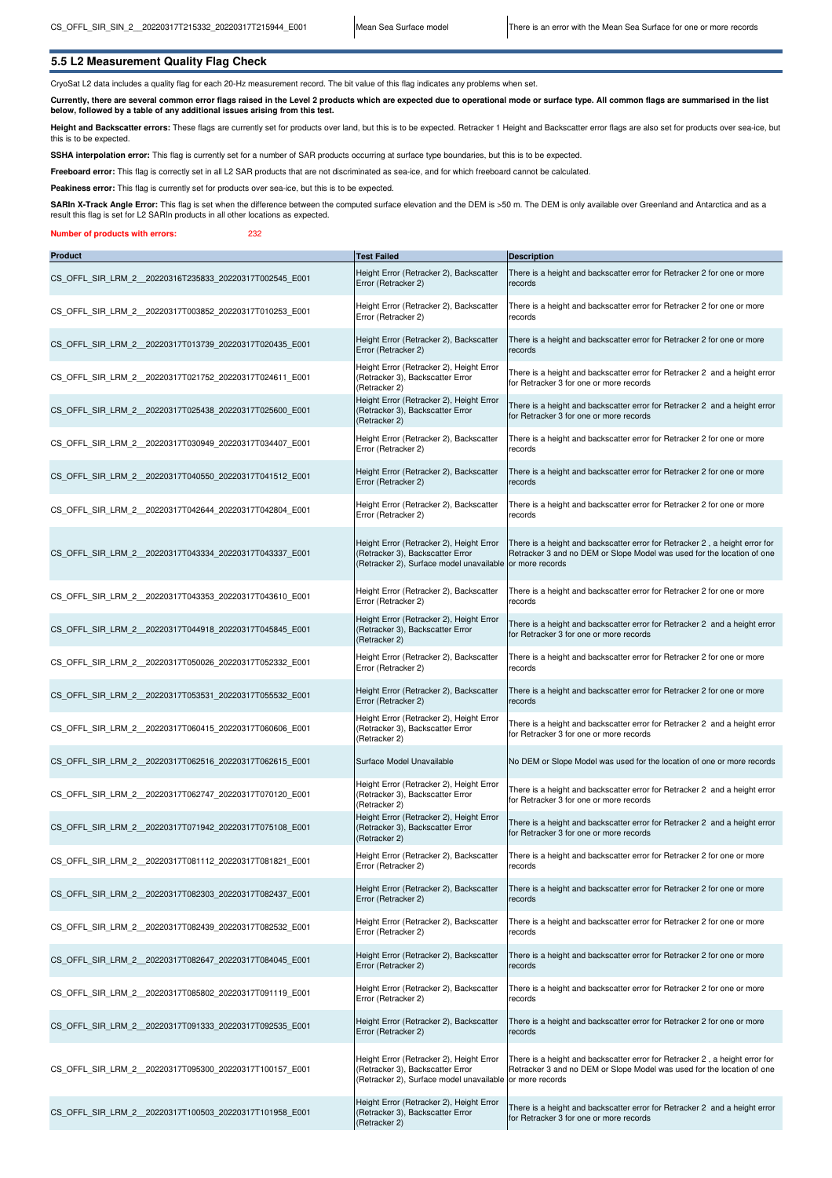## **5.5 L2 Measurement Quality Flag Check**

CryoSat L2 data includes a quality flag for each 20-Hz measurement record. The bit value of this flag indicates any problems when set.

**Currently, there are several common error flags raised in the Level 2 products which are expected due to operational mode or surface type. All common flags are summarised in the list below, followed by a table of any additional issues arising from this test.**

Height and Backscatter errors: These flags are currently set for products over land, but this is to be expected. Retracker 1 Height and Backscatter error flags are also set for products over sea-ice, but this is to be expected.

SSHA interpolation error: This flag is currently set for a number of SAR products occurring at surface type boundaries, but this is to be expected.

**Freeboard error:** This flag is correctly set in all L2 SAR products that are not discriminated as sea-ice, and for which freeboard cannot be calculated.

Peakiness error: This flag is currently set for products over sea-ice, but this is to be expected.

SARIn X-Track Angle Error: This flag is set when the difference between the computed surface elevation and the DEM is >50 m. The DEM is only available over Greenland and Antarctica and as a result this flag is set for L2 SARIn products in all other locations as expected.

#### **Number of products with errors:** 232

| <b>Product</b>                                         | <b>Test Failed</b>                                                                                                                       | <b>Description</b>                                                                                                                                                       |
|--------------------------------------------------------|------------------------------------------------------------------------------------------------------------------------------------------|--------------------------------------------------------------------------------------------------------------------------------------------------------------------------|
| CS_OFFL_SIR_LRM_2_20220316T235833_20220317T002545_E001 | Height Error (Retracker 2), Backscatter<br>Error (Retracker 2)                                                                           | There is a height and backscatter error for Retracker 2 for one or more<br>records                                                                                       |
| CS OFFL SIR LRM 2 20220317T003852 20220317T010253 E001 | Height Error (Retracker 2), Backscatter<br>Error (Retracker 2)                                                                           | There is a height and backscatter error for Retracker 2 for one or more<br>records                                                                                       |
| CS OFFL SIR LRM 2 20220317T013739 20220317T020435 E001 | Height Error (Retracker 2), Backscatter<br>Error (Retracker 2)                                                                           | There is a height and backscatter error for Retracker 2 for one or more<br>records                                                                                       |
| CS OFFL SIR LRM 2 20220317T021752 20220317T024611 E001 | Height Error (Retracker 2), Height Error<br>(Retracker 3), Backscatter Error<br>(Retracker 2)                                            | There is a height and backscatter error for Retracker 2 and a height error<br>for Retracker 3 for one or more records                                                    |
| CS OFFL SIR LRM 2 20220317T025438 20220317T025600 E001 | Height Error (Retracker 2), Height Error<br>(Retracker 3), Backscatter Error<br>(Retracker 2)                                            | There is a height and backscatter error for Retracker 2 and a height error<br>for Retracker 3 for one or more records                                                    |
| CS OFFL SIR LRM 2 20220317T030949 20220317T034407 E001 | Height Error (Retracker 2), Backscatter<br>Error (Retracker 2)                                                                           | There is a height and backscatter error for Retracker 2 for one or more<br>records                                                                                       |
| CS OFFL SIR LRM 2 20220317T040550 20220317T041512 E001 | Height Error (Retracker 2), Backscatter<br>Error (Retracker 2)                                                                           | There is a height and backscatter error for Retracker 2 for one or more<br>records                                                                                       |
| CS OFFL SIR LRM 2 20220317T042644 20220317T042804 E001 | Height Error (Retracker 2), Backscatter<br>Error (Retracker 2)                                                                           | There is a height and backscatter error for Retracker 2 for one or more<br>records                                                                                       |
| CS OFFL SIR LRM 2 20220317T043334 20220317T043337 E001 | Height Error (Retracker 2), Height Error<br>(Retracker 3), Backscatter Error<br>(Retracker 2), Surface model unavailable                 | There is a height and backscatter error for Retracker 2, a height error for<br>Retracker 3 and no DEM or Slope Model was used for the location of one<br>or more records |
| CS OFFL SIR LRM 2 20220317T043353 20220317T043610 E001 | Height Error (Retracker 2), Backscatter<br>Error (Retracker 2)                                                                           | There is a height and backscatter error for Retracker 2 for one or more<br>records                                                                                       |
| CS OFFL SIR LRM 2 20220317T044918 20220317T045845 E001 | Height Error (Retracker 2), Height Error<br>(Retracker 3), Backscatter Error<br>(Retracker 2)                                            | There is a height and backscatter error for Retracker 2 and a height error<br>for Retracker 3 for one or more records                                                    |
| CS OFFL SIR LRM 2 20220317T050026 20220317T052332 E001 | Height Error (Retracker 2), Backscatter<br>Error (Retracker 2)                                                                           | There is a height and backscatter error for Retracker 2 for one or more<br>records                                                                                       |
| CS OFFL SIR LRM 2 20220317T053531 20220317T055532 E001 | Height Error (Retracker 2), Backscatter<br>Error (Retracker 2)                                                                           | There is a height and backscatter error for Retracker 2 for one or more<br>records                                                                                       |
| CS OFFL SIR LRM 2 20220317T060415 20220317T060606 E001 | Height Error (Retracker 2), Height Error<br>(Retracker 3), Backscatter Error<br>(Retracker 2)                                            | There is a height and backscatter error for Retracker 2 and a height error<br>for Retracker 3 for one or more records                                                    |
| CS OFFL SIR LRM 2 20220317T062516 20220317T062615 E001 | Surface Model Unavailable                                                                                                                | No DEM or Slope Model was used for the location of one or more records                                                                                                   |
| CS OFFL SIR LRM 2 20220317T062747 20220317T070120 E001 | Height Error (Retracker 2), Height Error<br>(Retracker 3), Backscatter Error<br>(Retracker 2)                                            | There is a height and backscatter error for Retracker 2 and a height error<br>for Retracker 3 for one or more records                                                    |
| CS OFFL SIR LRM 2 20220317T071942 20220317T075108 E001 | Height Error (Retracker 2), Height Error<br>(Retracker 3), Backscatter Error<br>(Retracker 2)                                            | There is a height and backscatter error for Retracker 2 and a height error<br>for Retracker 3 for one or more records                                                    |
| CS OFFL SIR LRM 2 20220317T081112 20220317T081821 E001 | Height Error (Retracker 2), Backscatter<br>Error (Retracker 2)                                                                           | There is a height and backscatter error for Retracker 2 for one or more<br>records                                                                                       |
| CS OFFL SIR LRM 2 20220317T082303 20220317T082437 E001 | Height Error (Retracker 2), Backscatter<br>Error (Retracker 2)                                                                           | There is a height and backscatter error for Retracker 2 for one or more<br>records                                                                                       |
| CS OFFL SIR LRM 2 20220317T082439 20220317T082532 E001 | Height Error (Retracker 2), Backscatter<br>Error (Retracker 2)                                                                           | There is a height and backscatter error for Retracker 2 for one or more<br>records                                                                                       |
| CS OFFL SIR LRM 2 20220317T082647 20220317T084045 E001 | Height Error (Retracker 2), Backscatter<br>Error (Retracker 2)                                                                           | There is a height and backscatter error for Retracker 2 for one or more<br>records                                                                                       |
| CS OFFL SIR LRM 2 20220317T085802 20220317T091119 E001 | Height Error (Retracker 2), Backscatter<br>Error (Retracker 2)                                                                           | There is a height and backscatter error for Retracker 2 for one or more<br>records                                                                                       |
| CS OFFL SIR LRM 2 20220317T091333 20220317T092535 E001 | Height Error (Retracker 2), Backscatter<br>Error (Retracker 2)                                                                           | There is a height and backscatter error for Retracker 2 for one or more<br>records                                                                                       |
| CS_OFFL_SIR_LRM_2_20220317T095300_20220317T100157_E001 | Height Error (Retracker 2), Height Error<br>(Retracker 3), Backscatter Error<br>(Retracker 2), Surface model unavailable or more records | There is a height and backscatter error for Retracker 2, a height error for<br>Retracker 3 and no DEM or Slope Model was used for the location of one                    |
| CS OFFL SIR LRM 2 20220317T100503 20220317T101958 E001 | Height Error (Retracker 2), Height Error<br>(Retracker 3), Backscatter Error<br>(Retracker 2)                                            | There is a height and backscatter error for Retracker 2 and a height error<br>for Retracker 3 for one or more records                                                    |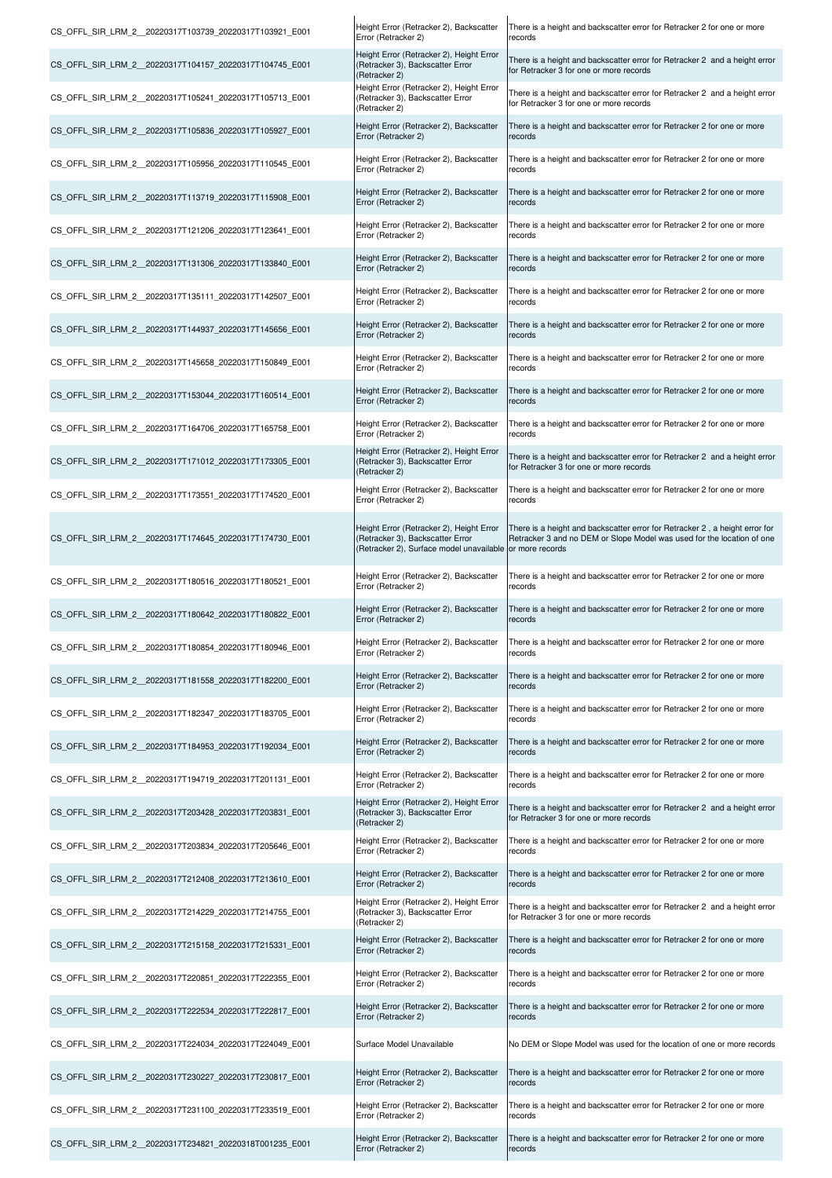| CS OFFL SIR LRM 2 20220317T103739 20220317T103921 E001 | Height Error (Retracker 2), Backscatter<br>Error (Retracker 2)                                                           | There is a height and backscatter error for Retracker 2 for one or more<br>records                                                                                       |
|--------------------------------------------------------|--------------------------------------------------------------------------------------------------------------------------|--------------------------------------------------------------------------------------------------------------------------------------------------------------------------|
| CS OFFL SIR LRM 2 20220317T104157 20220317T104745 E001 | Height Error (Retracker 2), Height Error<br>(Retracker 3), Backscatter Error<br>(Retracker 2)                            | There is a height and backscatter error for Retracker 2 and a height error<br>for Retracker 3 for one or more records                                                    |
| CS OFFL SIR LRM 2 20220317T105241 20220317T105713 E001 | Height Error (Retracker 2), Height Error<br>(Retracker 3), Backscatter Error<br>(Retracker 2)                            | There is a height and backscatter error for Retracker 2 and a height error<br>for Retracker 3 for one or more records                                                    |
| CS OFFL SIR LRM 2 20220317T105836 20220317T105927 E001 | Height Error (Retracker 2), Backscatter<br>Error (Retracker 2)                                                           | There is a height and backscatter error for Retracker 2 for one or more<br>records                                                                                       |
| CS OFFL SIR LRM 2 20220317T105956 20220317T110545 E001 | Height Error (Retracker 2), Backscatter<br>Error (Retracker 2)                                                           | There is a height and backscatter error for Retracker 2 for one or more<br>records                                                                                       |
| CS OFFL SIR LRM 2 20220317T113719 20220317T115908 E001 | Height Error (Retracker 2), Backscatter<br>Error (Retracker 2)                                                           | There is a height and backscatter error for Retracker 2 for one or more<br>records                                                                                       |
| CS OFFL SIR LRM 2 20220317T121206 20220317T123641 E001 | Height Error (Retracker 2), Backscatter<br>Error (Retracker 2)                                                           | There is a height and backscatter error for Retracker 2 for one or more<br>records                                                                                       |
| CS OFFL SIR LRM 2 20220317T131306 20220317T133840 E001 | Height Error (Retracker 2), Backscatter<br>Error (Retracker 2)                                                           | There is a height and backscatter error for Retracker 2 for one or more<br>records                                                                                       |
| CS OFFL SIR LRM 2 20220317T135111 20220317T142507 E001 | Height Error (Retracker 2), Backscatter<br>Error (Retracker 2)                                                           | There is a height and backscatter error for Retracker 2 for one or more<br>records                                                                                       |
| CS_OFFL_SIR_LRM_2_20220317T144937_20220317T145656_E001 | Height Error (Retracker 2), Backscatter<br>Error (Retracker 2)                                                           | There is a height and backscatter error for Retracker 2 for one or more<br>records                                                                                       |
| CS OFFL SIR LRM 2 20220317T145658 20220317T150849 E001 | Height Error (Retracker 2), Backscatter<br>Error (Retracker 2)                                                           | There is a height and backscatter error for Retracker 2 for one or more<br>records                                                                                       |
| CS OFFL SIR LRM 2 20220317T153044 20220317T160514 E001 | Height Error (Retracker 2), Backscatter<br>Error (Retracker 2)                                                           | There is a height and backscatter error for Retracker 2 for one or more<br>records                                                                                       |
| CS_OFFL_SIR_LRM_2_20220317T164706_20220317T165758_E001 | Height Error (Retracker 2), Backscatter<br>Error (Retracker 2)                                                           | There is a height and backscatter error for Retracker 2 for one or more<br>records                                                                                       |
| CS OFFL SIR LRM 2 20220317T171012 20220317T173305 E001 | Height Error (Retracker 2), Height Error<br>(Retracker 3), Backscatter Error<br>(Retracker 2)                            | There is a height and backscatter error for Retracker 2 and a height error<br>for Retracker 3 for one or more records                                                    |
| CS OFFL SIR LRM 2 20220317T173551 20220317T174520 E001 | Height Error (Retracker 2), Backscatter<br>Error (Retracker 2)                                                           | There is a height and backscatter error for Retracker 2 for one or more<br>records                                                                                       |
| CS OFFL SIR LRM 2 20220317T174645 20220317T174730 E001 | Height Error (Retracker 2), Height Error<br>(Retracker 3), Backscatter Error<br>(Retracker 2), Surface model unavailable | There is a height and backscatter error for Retracker 2, a height error for<br>Retracker 3 and no DEM or Slope Model was used for the location of one<br>or more records |
| CS OFFL SIR LRM 2 20220317T180516 20220317T180521 E001 | Height Error (Retracker 2), Backscatter<br>Error (Retracker 2)                                                           | There is a height and backscatter error for Retracker 2 for one or more<br>records                                                                                       |
| CS OFFL SIR LRM 2 20220317T180642 20220317T180822 E001 | Height Error (Retracker 2), Backscatter<br>Error (Retracker 2)                                                           | There is a height and backscatter error for Retracker 2 for one or more<br>records                                                                                       |
| CS OFFL SIR LRM 2 20220317T180854 20220317T180946 E001 | Height Error (Retracker 2), Backscatter<br>Error (Retracker 2)                                                           | There is a height and backscatter error for Retracker 2 for one or more<br>records                                                                                       |
| CS OFFL SIR LRM 2 20220317T181558 20220317T182200 E001 | Height Error (Retracker 2), Backscatter<br>Error (Retracker 2)                                                           | There is a height and backscatter error for Retracker 2 for one or more<br>records                                                                                       |
| CS OFFL SIR LRM 2 20220317T182347 20220317T183705 E001 | Height Error (Retracker 2), Backscatter<br>Error (Retracker 2)                                                           | There is a height and backscatter error for Retracker 2 for one or more<br>records                                                                                       |
| CS OFFL SIR LRM 2 20220317T184953 20220317T192034 E001 | Height Error (Retracker 2), Backscatter<br>Error (Retracker 2)                                                           | There is a height and backscatter error for Retracker 2 for one or more<br>records                                                                                       |
| CS OFFL SIR LRM 2 20220317T194719 20220317T201131 E001 | Height Error (Retracker 2), Backscatter<br>Error (Retracker 2)                                                           | There is a height and backscatter error for Retracker 2 for one or more<br>records                                                                                       |
| CS OFFL SIR LRM 2 20220317T203428 20220317T203831 E001 | Height Error (Retracker 2), Height Error<br>(Retracker 3), Backscatter Error<br>(Retracker 2)                            | There is a height and backscatter error for Retracker 2 and a height error<br>for Retracker 3 for one or more records                                                    |
| CS OFFL SIR LRM 2 20220317T203834 20220317T205646 E001 | Height Error (Retracker 2), Backscatter<br>Error (Retracker 2)                                                           | There is a height and backscatter error for Retracker 2 for one or more<br>records                                                                                       |
| CS OFFL SIR LRM 2 20220317T212408 20220317T213610 E001 | Height Error (Retracker 2), Backscatter<br>Error (Retracker 2)                                                           | There is a height and backscatter error for Retracker 2 for one or more<br>records                                                                                       |
| CS OFFL SIR LRM 2 20220317T214229 20220317T214755 E001 | Height Error (Retracker 2), Height Error<br>(Retracker 3), Backscatter Error<br>(Retracker 2)                            | There is a height and backscatter error for Retracker 2 and a height error<br>for Retracker 3 for one or more records                                                    |
| CS OFFL SIR LRM 2 20220317T215158 20220317T215331 E001 | Height Error (Retracker 2), Backscatter<br>Error (Retracker 2)                                                           | There is a height and backscatter error for Retracker 2 for one or more<br>records                                                                                       |
| CS OFFL SIR LRM 2 20220317T220851 20220317T222355 E001 | Height Error (Retracker 2), Backscatter<br>Error (Retracker 2)                                                           | There is a height and backscatter error for Retracker 2 for one or more<br>records                                                                                       |
| CS OFFL SIR LRM 2 20220317T222534 20220317T222817 E001 | Height Error (Retracker 2), Backscatter<br>Error (Retracker 2)                                                           | There is a height and backscatter error for Retracker 2 for one or more<br>records                                                                                       |
| CS OFFL SIR LRM 2 20220317T224034 20220317T224049 E001 | Surface Model Unavailable                                                                                                | No DEM or Slope Model was used for the location of one or more records                                                                                                   |
| CS OFFL SIR LRM 2 20220317T230227 20220317T230817 E001 | Height Error (Retracker 2), Backscatter<br>Error (Retracker 2)                                                           | There is a height and backscatter error for Retracker 2 for one or more<br>records                                                                                       |
| CS OFFL SIR LRM 2 20220317T231100 20220317T233519 E001 | Height Error (Retracker 2), Backscatter<br>Error (Retracker 2)                                                           | There is a height and backscatter error for Retracker 2 for one or more<br>records                                                                                       |
| CS OFFL SIR LRM 2 20220317T234821 20220318T001235 E001 | Height Error (Retracker 2), Backscatter<br>Error (Retracker 2)                                                           | There is a height and backscatter error for Retracker 2 for one or more<br>records                                                                                       |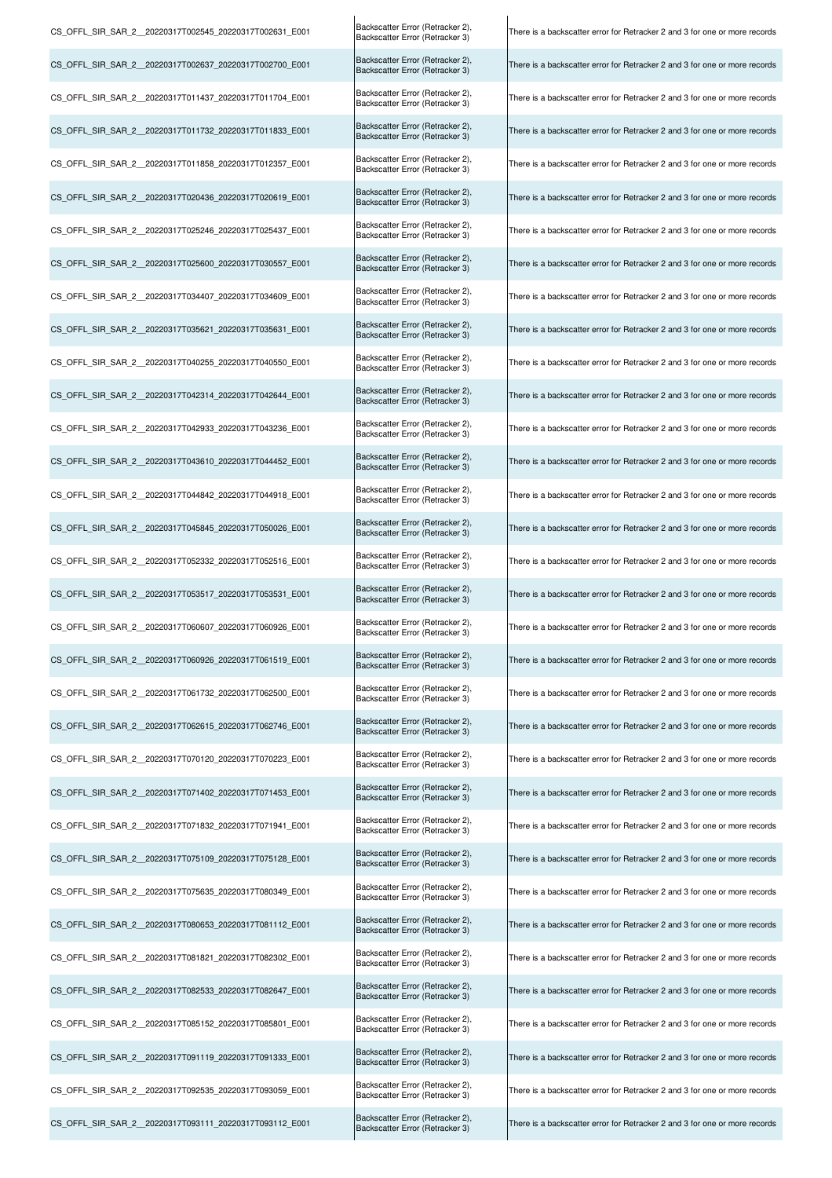| CS_OFFL_SIR_SAR_2_20220317T002545_20220317T002631_E001 | Backscatter Error (Retracker 2),<br>Backscatter Error (Retracker 3) | There is a backscatter error for Retracker 2 and 3 for one or more records |
|--------------------------------------------------------|---------------------------------------------------------------------|----------------------------------------------------------------------------|
| CS OFFL SIR SAR 2 20220317T002637 20220317T002700 E001 | Backscatter Error (Retracker 2),<br>Backscatter Error (Retracker 3) | There is a backscatter error for Retracker 2 and 3 for one or more records |
| CS OFFL SIR SAR 2 20220317T011437 20220317T011704 E001 | Backscatter Error (Retracker 2),<br>Backscatter Error (Retracker 3) | There is a backscatter error for Retracker 2 and 3 for one or more records |
| CS_OFFL_SIR_SAR_2_20220317T011732_20220317T011833_E001 | Backscatter Error (Retracker 2),<br>Backscatter Error (Retracker 3) | There is a backscatter error for Retracker 2 and 3 for one or more records |
| CS OFFL SIR SAR 2 20220317T011858 20220317T012357 E001 | Backscatter Error (Retracker 2),<br>Backscatter Error (Retracker 3) | There is a backscatter error for Retracker 2 and 3 for one or more records |
| CS OFFL SIR SAR 2 20220317T020436 20220317T020619 E001 | Backscatter Error (Retracker 2),<br>Backscatter Error (Retracker 3) | There is a backscatter error for Retracker 2 and 3 for one or more records |
| CS OFFL SIR SAR 2 20220317T025246 20220317T025437 E001 | Backscatter Error (Retracker 2),<br>Backscatter Error (Retracker 3) | There is a backscatter error for Retracker 2 and 3 for one or more records |
| CS_OFFL_SIR_SAR_2_20220317T025600_20220317T030557_E001 | Backscatter Error (Retracker 2),<br>Backscatter Error (Retracker 3) | There is a backscatter error for Retracker 2 and 3 for one or more records |
| CS OFFL SIR SAR 2 20220317T034407 20220317T034609 E001 | Backscatter Error (Retracker 2),<br>Backscatter Error (Retracker 3) | There is a backscatter error for Retracker 2 and 3 for one or more records |
| CS OFFL SIR SAR 2 20220317T035621 20220317T035631 E001 | Backscatter Error (Retracker 2),<br>Backscatter Error (Retracker 3) | There is a backscatter error for Retracker 2 and 3 for one or more records |
| CS OFFL SIR SAR 2 20220317T040255 20220317T040550 E001 | Backscatter Error (Retracker 2),<br>Backscatter Error (Retracker 3) | There is a backscatter error for Retracker 2 and 3 for one or more records |
| CS_OFFL_SIR_SAR_2_20220317T042314_20220317T042644_E001 | Backscatter Error (Retracker 2),<br>Backscatter Error (Retracker 3) | There is a backscatter error for Retracker 2 and 3 for one or more records |
| CS_OFFL_SIR_SAR_2_20220317T042933_20220317T043236_E001 | Backscatter Error (Retracker 2),<br>Backscatter Error (Retracker 3) | There is a backscatter error for Retracker 2 and 3 for one or more records |
| CS OFFL SIR SAR 2 20220317T043610 20220317T044452 E001 | Backscatter Error (Retracker 2),<br>Backscatter Error (Retracker 3) | There is a backscatter error for Retracker 2 and 3 for one or more records |
| CS OFFL SIR SAR 2 20220317T044842 20220317T044918 E001 | Backscatter Error (Retracker 2),<br>Backscatter Error (Retracker 3) | There is a backscatter error for Retracker 2 and 3 for one or more records |
| CS OFFL SIR SAR 2 20220317T045845 20220317T050026 E001 | Backscatter Error (Retracker 2),<br>Backscatter Error (Retracker 3) | There is a backscatter error for Retracker 2 and 3 for one or more records |
| CS OFFL SIR SAR 2 20220317T052332 20220317T052516 E001 | Backscatter Error (Retracker 2),<br>Backscatter Error (Retracker 3) | There is a backscatter error for Retracker 2 and 3 for one or more records |
| CS_OFFL_SIR_SAR_2_20220317T053517_20220317T053531_E001 | Backscatter Error (Retracker 2),<br>Backscatter Error (Retracker 3) | There is a backscatter error for Retracker 2 and 3 for one or more records |
| CS OFFL SIR SAR 2 20220317T060607 20220317T060926 E001 | Backscatter Error (Retracker 2),<br>Backscatter Error (Retracker 3) | There is a backscatter error for Retracker 2 and 3 for one or more records |
| CS_OFFL_SIR_SAR_2_20220317T060926_20220317T061519_E001 | Backscatter Error (Retracker 2),<br>Backscatter Error (Retracker 3) | There is a backscatter error for Retracker 2 and 3 for one or more records |
| CS OFFL SIR SAR 2 20220317T061732 20220317T062500 E001 | Backscatter Error (Retracker 2),<br>Backscatter Error (Retracker 3) | There is a backscatter error for Retracker 2 and 3 for one or more records |
| CS OFFL SIR SAR 2 20220317T062615 20220317T062746 E001 | Backscatter Error (Retracker 2),<br>Backscatter Error (Retracker 3) | There is a backscatter error for Retracker 2 and 3 for one or more records |
| CS OFFL SIR SAR 2 20220317T070120 20220317T070223 E001 | Backscatter Error (Retracker 2),<br>Backscatter Error (Retracker 3) | There is a backscatter error for Retracker 2 and 3 for one or more records |
| CS OFFL SIR SAR 2 20220317T071402 20220317T071453 E001 | Backscatter Error (Retracker 2),<br>Backscatter Error (Retracker 3) | There is a backscatter error for Retracker 2 and 3 for one or more records |
| CS OFFL SIR SAR 2 20220317T071832 20220317T071941 E001 | Backscatter Error (Retracker 2),<br>Backscatter Error (Retracker 3) | There is a backscatter error for Retracker 2 and 3 for one or more records |
| CS_OFFL_SIR_SAR_2_20220317T075109_20220317T075128_E001 | Backscatter Error (Retracker 2),<br>Backscatter Error (Retracker 3) | There is a backscatter error for Retracker 2 and 3 for one or more records |
| CS OFFL SIR SAR 2 20220317T075635 20220317T080349 E001 | Backscatter Error (Retracker 2),<br>Backscatter Error (Retracker 3) | There is a backscatter error for Retracker 2 and 3 for one or more records |
| CS OFFL SIR SAR 2 20220317T080653 20220317T081112 E001 | Backscatter Error (Retracker 2),<br>Backscatter Error (Retracker 3) | There is a backscatter error for Retracker 2 and 3 for one or more records |
| CS OFFL SIR SAR 2 20220317T081821 20220317T082302 E001 | Backscatter Error (Retracker 2),<br>Backscatter Error (Retracker 3) | There is a backscatter error for Retracker 2 and 3 for one or more records |
| CS OFFL SIR SAR 2 20220317T082533 20220317T082647 E001 | Backscatter Error (Retracker 2),<br>Backscatter Error (Retracker 3) | There is a backscatter error for Retracker 2 and 3 for one or more records |
| CS OFFL SIR SAR 2 20220317T085152 20220317T085801 E001 | Backscatter Error (Retracker 2),<br>Backscatter Error (Retracker 3) | There is a backscatter error for Retracker 2 and 3 for one or more records |
| CS OFFL SIR SAR 2 20220317T091119 20220317T091333 E001 | Backscatter Error (Retracker 2),<br>Backscatter Error (Retracker 3) | There is a backscatter error for Retracker 2 and 3 for one or more records |
| CS OFFL SIR SAR 2 20220317T092535 20220317T093059 E001 | Backscatter Error (Retracker 2),<br>Backscatter Error (Retracker 3) | There is a backscatter error for Retracker 2 and 3 for one or more records |
| CS OFFL SIR SAR 2 20220317T093111 20220317T093112 E001 | Backscatter Error (Retracker 2),<br>Backscatter Error (Retracker 3) | There is a backscatter error for Retracker 2 and 3 for one or more records |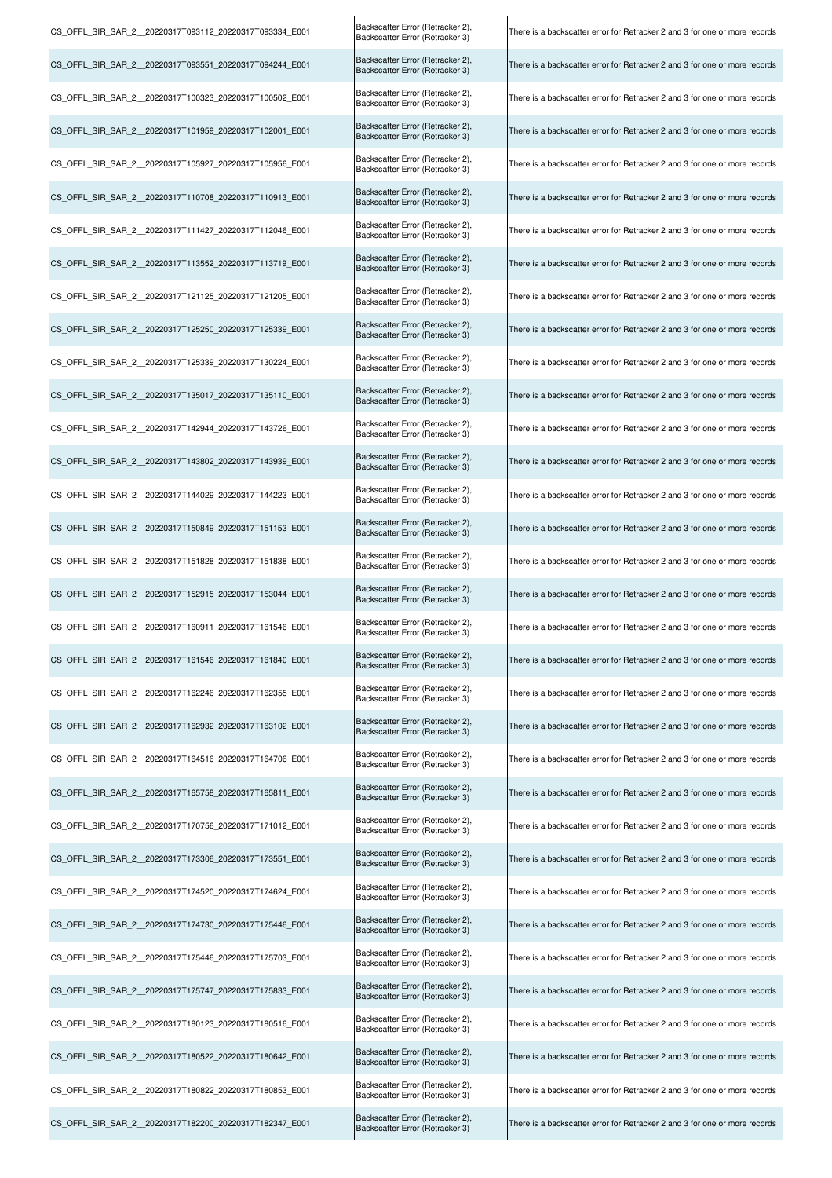| CS_OFFL_SIR_SAR_2_20220317T093112_20220317T093334_E001 | Backscatter Error (Retracker 2),<br>Backscatter Error (Retracker 3) | There is a backscatter error for Retracker 2 and 3 for one or more records |
|--------------------------------------------------------|---------------------------------------------------------------------|----------------------------------------------------------------------------|
| CS_OFFL_SIR_SAR_2_20220317T093551_20220317T094244_E001 | Backscatter Error (Retracker 2),<br>Backscatter Error (Retracker 3) | There is a backscatter error for Retracker 2 and 3 for one or more records |
| CS_OFFL_SIR_SAR_2_20220317T100323_20220317T100502_E001 | Backscatter Error (Retracker 2),<br>Backscatter Error (Retracker 3) | There is a backscatter error for Retracker 2 and 3 for one or more records |
| CS OFFL SIR SAR 2 20220317T101959 20220317T102001 E001 | Backscatter Error (Retracker 2),<br>Backscatter Error (Retracker 3) | There is a backscatter error for Retracker 2 and 3 for one or more records |
| CS_OFFL_SIR_SAR_2_20220317T105927_20220317T105956_E001 | Backscatter Error (Retracker 2),<br>Backscatter Error (Retracker 3) | There is a backscatter error for Retracker 2 and 3 for one or more records |
| CS OFFL SIR SAR 2 20220317T110708 20220317T110913 E001 | Backscatter Error (Retracker 2),<br>Backscatter Error (Retracker 3) | There is a backscatter error for Retracker 2 and 3 for one or more records |
| CS_OFFL_SIR_SAR_2_20220317T111427_20220317T112046_E001 | Backscatter Error (Retracker 2),<br>Backscatter Error (Retracker 3) | There is a backscatter error for Retracker 2 and 3 for one or more records |
| CS OFFL SIR SAR 2 20220317T113552 20220317T113719 E001 | Backscatter Error (Retracker 2),<br>Backscatter Error (Retracker 3) | There is a backscatter error for Retracker 2 and 3 for one or more records |
| CS OFFL SIR SAR 2 20220317T121125 20220317T121205 E001 | Backscatter Error (Retracker 2),<br>Backscatter Error (Retracker 3) | There is a backscatter error for Retracker 2 and 3 for one or more records |
| CS_OFFL_SIR_SAR_2_20220317T125250_20220317T125339_E001 | Backscatter Error (Retracker 2),<br>Backscatter Error (Retracker 3) | There is a backscatter error for Retracker 2 and 3 for one or more records |
| CS OFFL SIR SAR 2 20220317T125339 20220317T130224 E001 | Backscatter Error (Retracker 2),<br>Backscatter Error (Retracker 3) | There is a backscatter error for Retracker 2 and 3 for one or more records |
| CS OFFL SIR SAR 2 20220317T135017 20220317T135110 E001 | Backscatter Error (Retracker 2),<br>Backscatter Error (Retracker 3) | There is a backscatter error for Retracker 2 and 3 for one or more records |
| CS_OFFL_SIR_SAR_2_20220317T142944_20220317T143726_E001 | Backscatter Error (Retracker 2),<br>Backscatter Error (Retracker 3) | There is a backscatter error for Retracker 2 and 3 for one or more records |
| CS_OFFL_SIR_SAR_2_20220317T143802_20220317T143939_E001 | Backscatter Error (Retracker 2),<br>Backscatter Error (Retracker 3) | There is a backscatter error for Retracker 2 and 3 for one or more records |
| CS OFFL SIR SAR 2 20220317T144029 20220317T144223 E001 | Backscatter Error (Retracker 2),<br>Backscatter Error (Retracker 3) | There is a backscatter error for Retracker 2 and 3 for one or more records |
| CS OFFL SIR SAR 2 20220317T150849 20220317T151153 E001 | Backscatter Error (Retracker 2),<br>Backscatter Error (Retracker 3) | There is a backscatter error for Retracker 2 and 3 for one or more records |
| CS OFFL SIR SAR 2 20220317T151828 20220317T151838 E001 | Backscatter Error (Retracker 2),<br>Backscatter Error (Retracker 3) | There is a backscatter error for Retracker 2 and 3 for one or more records |
| CS_OFFL_SIR_SAR_2_20220317T152915_20220317T153044_E001 | Backscatter Error (Retracker 2),<br>Backscatter Error (Retracker 3) | There is a backscatter error for Retracker 2 and 3 for one or more records |
| CS_OFFL_SIR_SAR_2_20220317T160911_20220317T161546_E001 | Backscatter Error (Retracker 2),<br>Backscatter Error (Retracker 3) | There is a backscatter error for Retracker 2 and 3 for one or more records |
| CS_OFFL_SIR_SAR_2_20220317T161546_20220317T161840_E001 | Backscatter Error (Retracker 2),<br>Backscatter Error (Retracker 3) | There is a backscatter error for Retracker 2 and 3 for one or more records |
| CS OFFL SIR SAR 2 20220317T162246 20220317T162355 E001 | Backscatter Error (Retracker 2),<br>Backscatter Error (Retracker 3) | There is a backscatter error for Retracker 2 and 3 for one or more records |
| CS_OFFL_SIR_SAR_2_20220317T162932_20220317T163102_E001 | Backscatter Error (Retracker 2),<br>Backscatter Error (Retracker 3) | There is a backscatter error for Retracker 2 and 3 for one or more records |
| CS OFFL SIR SAR 2 20220317T164516 20220317T164706 E001 | Backscatter Error (Retracker 2),<br>Backscatter Error (Retracker 3) | There is a backscatter error for Retracker 2 and 3 for one or more records |
| CS OFFL SIR SAR 2 20220317T165758 20220317T165811 E001 | Backscatter Error (Retracker 2),<br>Backscatter Error (Retracker 3) | There is a backscatter error for Retracker 2 and 3 for one or more records |
| CS OFFL SIR SAR 2 20220317T170756 20220317T171012 E001 | Backscatter Error (Retracker 2),<br>Backscatter Error (Retracker 3) | There is a backscatter error for Retracker 2 and 3 for one or more records |
| CS OFFL SIR SAR 2 20220317T173306 20220317T173551 E001 | Backscatter Error (Retracker 2),<br>Backscatter Error (Retracker 3) | There is a backscatter error for Retracker 2 and 3 for one or more records |
| CS OFFL SIR SAR 2 20220317T174520 20220317T174624 E001 | Backscatter Error (Retracker 2),<br>Backscatter Error (Retracker 3) | There is a backscatter error for Retracker 2 and 3 for one or more records |
| CS_OFFL_SIR_SAR_2_20220317T174730_20220317T175446_E001 | Backscatter Error (Retracker 2),<br>Backscatter Error (Retracker 3) | There is a backscatter error for Retracker 2 and 3 for one or more records |
| CS OFFL SIR SAR 2 20220317T175446 20220317T175703 E001 | Backscatter Error (Retracker 2),<br>Backscatter Error (Retracker 3) | There is a backscatter error for Retracker 2 and 3 for one or more records |
| CS_OFFL_SIR_SAR_2_20220317T175747_20220317T175833_E001 | Backscatter Error (Retracker 2),<br>Backscatter Error (Retracker 3) | There is a backscatter error for Retracker 2 and 3 for one or more records |
| CS OFFL SIR SAR 2 20220317T180123 20220317T180516 E001 | Backscatter Error (Retracker 2),<br>Backscatter Error (Retracker 3) | There is a backscatter error for Retracker 2 and 3 for one or more records |
| CS OFFL SIR SAR 2 20220317T180522 20220317T180642 E001 | Backscatter Error (Retracker 2),<br>Backscatter Error (Retracker 3) | There is a backscatter error for Retracker 2 and 3 for one or more records |
| CS OFFL SIR SAR 2 20220317T180822 20220317T180853 E001 | Backscatter Error (Retracker 2),<br>Backscatter Error (Retracker 3) | There is a backscatter error for Retracker 2 and 3 for one or more records |
| CS OFFL SIR SAR 2 20220317T182200 20220317T182347 E001 | Backscatter Error (Retracker 2),<br>Backscatter Error (Retracker 3) | There is a backscatter error for Retracker 2 and 3 for one or more records |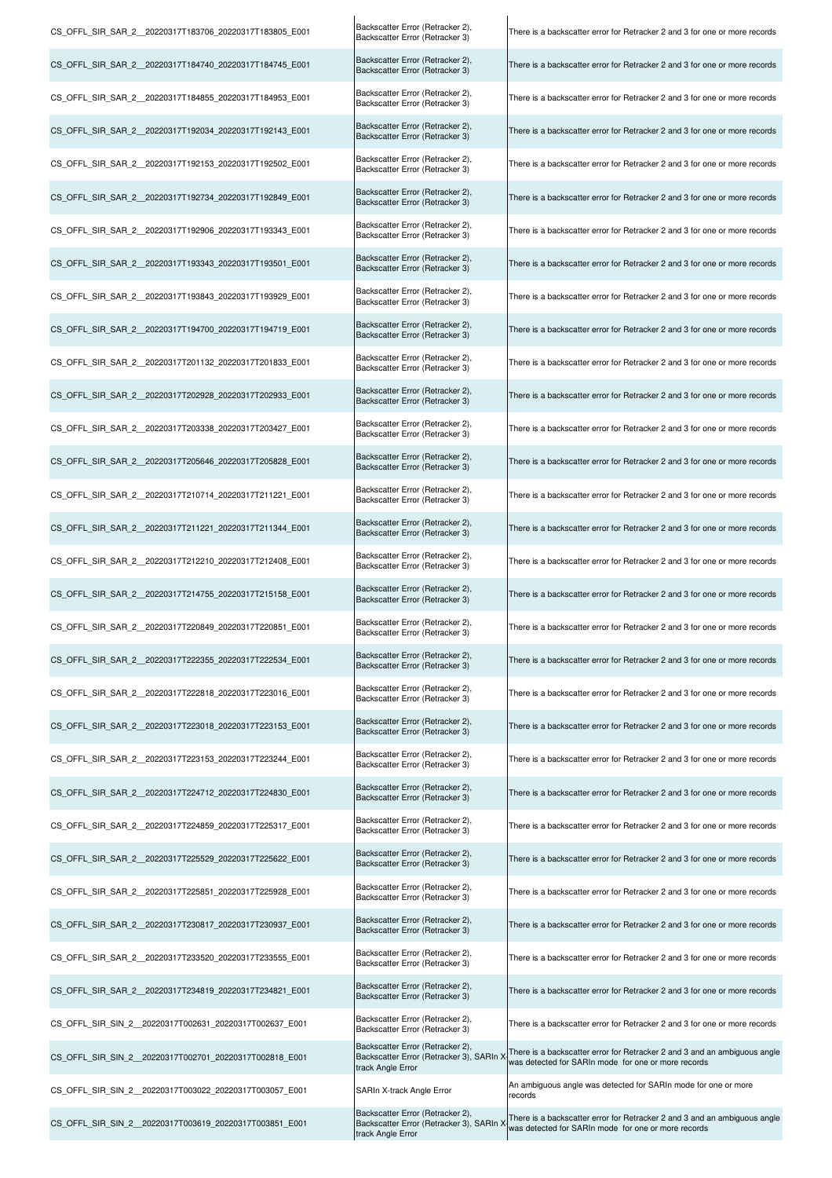| CS OFFL SIR SAR 2 20220317T183706 20220317T183805 E001 | Backscatter Error (Retracker 2),<br>Backscatter Error (Retracker 3)                               | There is a backscatter error for Retracker 2 and 3 for one or more records                                                       |
|--------------------------------------------------------|---------------------------------------------------------------------------------------------------|----------------------------------------------------------------------------------------------------------------------------------|
| CS OFFL SIR SAR 2 20220317T184740 20220317T184745 E001 | Backscatter Error (Retracker 2),<br>Backscatter Error (Retracker 3)                               | There is a backscatter error for Retracker 2 and 3 for one or more records                                                       |
| CS OFFL SIR SAR 2 20220317T184855 20220317T184953 E001 | Backscatter Error (Retracker 2),<br>Backscatter Error (Retracker 3)                               | There is a backscatter error for Retracker 2 and 3 for one or more records                                                       |
| CS OFFL SIR SAR 2 20220317T192034 20220317T192143 E001 | Backscatter Error (Retracker 2),<br>Backscatter Error (Retracker 3)                               | There is a backscatter error for Retracker 2 and 3 for one or more records                                                       |
| CS OFFL SIR SAR 2 20220317T192153 20220317T192502 E001 | Backscatter Error (Retracker 2),<br>Backscatter Error (Retracker 3)                               | There is a backscatter error for Retracker 2 and 3 for one or more records                                                       |
| CS OFFL SIR SAR 2 20220317T192734 20220317T192849 E001 | Backscatter Error (Retracker 2),<br>Backscatter Error (Retracker 3)                               | There is a backscatter error for Retracker 2 and 3 for one or more records                                                       |
| CS OFFL SIR SAR 2 20220317T192906 20220317T193343 E001 | Backscatter Error (Retracker 2),<br>Backscatter Error (Retracker 3)                               | There is a backscatter error for Retracker 2 and 3 for one or more records                                                       |
| CS_OFFL_SIR_SAR_2_20220317T193343_20220317T193501_E001 | Backscatter Error (Retracker 2),<br>Backscatter Error (Retracker 3)                               | There is a backscatter error for Retracker 2 and 3 for one or more records                                                       |
| CS OFFL SIR SAR 2 20220317T193843 20220317T193929 E001 | Backscatter Error (Retracker 2),<br>Backscatter Error (Retracker 3)                               | There is a backscatter error for Retracker 2 and 3 for one or more records                                                       |
| CS OFFL SIR SAR 2 20220317T194700 20220317T194719 E001 | Backscatter Error (Retracker 2),<br>Backscatter Error (Retracker 3)                               | There is a backscatter error for Retracker 2 and 3 for one or more records                                                       |
| CS_OFFL_SIR_SAR_2_20220317T201132_20220317T201833_E001 | Backscatter Error (Retracker 2),<br>Backscatter Error (Retracker 3)                               | There is a backscatter error for Retracker 2 and 3 for one or more records                                                       |
| CS OFFL SIR SAR 2 20220317T202928 20220317T202933 E001 | Backscatter Error (Retracker 2),<br>Backscatter Error (Retracker 3)                               | There is a backscatter error for Retracker 2 and 3 for one or more records                                                       |
| CS OFFL SIR SAR 2 20220317T203338 20220317T203427 E001 | Backscatter Error (Retracker 2),<br>Backscatter Error (Retracker 3)                               | There is a backscatter error for Retracker 2 and 3 for one or more records                                                       |
| CS OFFL SIR SAR 2 20220317T205646 20220317T205828 E001 | Backscatter Error (Retracker 2),<br>Backscatter Error (Retracker 3)                               | There is a backscatter error for Retracker 2 and 3 for one or more records                                                       |
| CS_OFFL_SIR_SAR_2_20220317T210714_20220317T211221_E001 | Backscatter Error (Retracker 2),<br>Backscatter Error (Retracker 3)                               | There is a backscatter error for Retracker 2 and 3 for one or more records                                                       |
| CS_OFFL_SIR_SAR_2_20220317T211221_20220317T211344_E001 | Backscatter Error (Retracker 2),<br>Backscatter Error (Retracker 3)                               | There is a backscatter error for Retracker 2 and 3 for one or more records                                                       |
| CS_OFFL_SIR_SAR_2_20220317T212210_20220317T212408_E001 | Backscatter Error (Retracker 2),<br>Backscatter Error (Retracker 3)                               | There is a backscatter error for Retracker 2 and 3 for one or more records                                                       |
| CS_OFFL_SIR_SAR_2_20220317T214755_20220317T215158_E001 | Backscatter Error (Retracker 2),<br>Backscatter Error (Retracker 3)                               | There is a backscatter error for Retracker 2 and 3 for one or more records                                                       |
| CS OFFL SIR SAR 2 20220317T220849 20220317T220851 E001 | Backscatter Error (Retracker 2),<br>Backscatter Error (Retracker 3)                               | There is a backscatter error for Retracker 2 and 3 for one or more records                                                       |
| CS OFFL SIR SAR 2 20220317T222355 20220317T222534 E001 | Backscatter Error (Retracker 2),<br>Backscatter Error (Retracker 3)                               | There is a backscatter error for Retracker 2 and 3 for one or more records                                                       |
| CS OFFL SIR SAR 2 20220317T222818 20220317T223016 E001 | Backscatter Error (Retracker 2),<br>Backscatter Error (Retracker 3)                               | There is a backscatter error for Retracker 2 and 3 for one or more records                                                       |
| CS OFFL SIR SAR 2 20220317T223018 20220317T223153 E001 | Backscatter Error (Retracker 2),<br>Backscatter Error (Retracker 3)                               | There is a backscatter error for Retracker 2 and 3 for one or more records                                                       |
| CS OFFL SIR SAR 2 20220317T223153 20220317T223244 E001 | Backscatter Error (Retracker 2),<br>Backscatter Error (Retracker 3)                               | There is a backscatter error for Retracker 2 and 3 for one or more records                                                       |
| CS OFFL SIR SAR 2 20220317T224712 20220317T224830 E001 | Backscatter Error (Retracker 2),<br>Backscatter Error (Retracker 3)                               | There is a backscatter error for Retracker 2 and 3 for one or more records                                                       |
| CS OFFL SIR SAR 2 20220317T224859 20220317T225317 E001 | Backscatter Error (Retracker 2),<br>Backscatter Error (Retracker 3)                               | There is a backscatter error for Retracker 2 and 3 for one or more records                                                       |
| CS OFFL SIR SAR 2 20220317T225529 20220317T225622 E001 | Backscatter Error (Retracker 2),<br>Backscatter Error (Retracker 3)                               | There is a backscatter error for Retracker 2 and 3 for one or more records                                                       |
| CS OFFL SIR SAR 2 20220317T225851 20220317T225928 E001 | Backscatter Error (Retracker 2),<br>Backscatter Error (Retracker 3)                               | There is a backscatter error for Retracker 2 and 3 for one or more records                                                       |
| CS_OFFL_SIR_SAR_2_20220317T230817_20220317T230937_E001 | Backscatter Error (Retracker 2),<br>Backscatter Error (Retracker 3)                               | There is a backscatter error for Retracker 2 and 3 for one or more records                                                       |
| CS OFFL SIR SAR 2 20220317T233520 20220317T233555 E001 | Backscatter Error (Retracker 2),<br>Backscatter Error (Retracker 3)                               | There is a backscatter error for Retracker 2 and 3 for one or more records                                                       |
| CS OFFL SIR SAR 2 20220317T234819 20220317T234821 E001 | Backscatter Error (Retracker 2),<br>Backscatter Error (Retracker 3)                               | There is a backscatter error for Retracker 2 and 3 for one or more records                                                       |
| CS OFFL SIR SIN 2 20220317T002631 20220317T002637 E001 | Backscatter Error (Retracker 2),<br>Backscatter Error (Retracker 3)                               | There is a backscatter error for Retracker 2 and 3 for one or more records                                                       |
| CS OFFL SIR SIN 2 20220317T002701 20220317T002818 E001 | Backscatter Error (Retracker 2),<br>Backscatter Error (Retracker 3), SARIn )<br>track Angle Error | There is a backscatter error for Retracker 2 and 3 and an ambiguous angle<br>was detected for SARIn mode for one or more records |
| CS_OFFL_SIR_SIN_2_20220317T003022_20220317T003057_E001 | SARIn X-track Angle Error                                                                         | An ambiguous angle was detected for SARIn mode for one or more<br>records                                                        |
| CS_OFFL_SIR_SIN_2_20220317T003619_20220317T003851_E001 | Backscatter Error (Retracker 2),<br>Backscatter Error (Retracker 3), SARIn ><br>track Angle Error | There is a backscatter error for Retracker 2 and 3 and an ambiguous angle<br>was detected for SARIn mode for one or more records |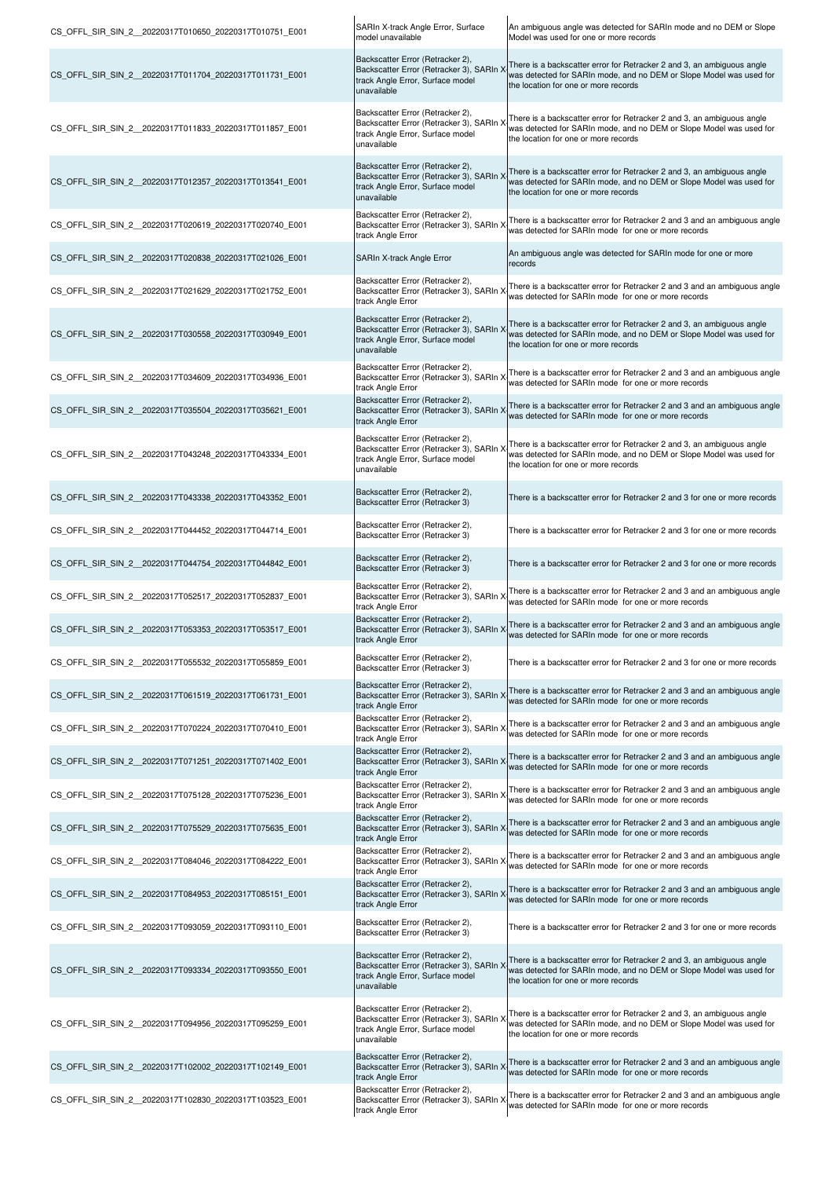| CS OFFL SIR SIN 2 20220317T010650 20220317T010751 E001 | SARIn X-track Angle Error, Surface<br>model unavailable                                                                         | An ambiguous angle was detected for SARIn mode and no DEM or Slope<br>Model was used for one or more records                                                                          |
|--------------------------------------------------------|---------------------------------------------------------------------------------------------------------------------------------|---------------------------------------------------------------------------------------------------------------------------------------------------------------------------------------|
| CS_OFFL_SIR_SIN_2_20220317T011704_20220317T011731_E001 | Backscatter Error (Retracker 2),<br>Backscatter Error (Retracker 3), SARIn ><br>track Angle Error, Surface model<br>unavailable | There is a backscatter error for Retracker 2 and 3, an ambiguous angle<br>was detected for SARIn mode, and no DEM or Slope Model was used for<br>the location for one or more records |
| CS_OFFL_SIR_SIN_2_20220317T011833_20220317T011857_E001 | Backscatter Error (Retracker 2),<br>Backscatter Error (Retracker 3), SARIn )<br>track Angle Error, Surface model<br>unavailable | There is a backscatter error for Retracker 2 and 3, an ambiguous angle<br>was detected for SARIn mode, and no DEM or Slope Model was used for<br>the location for one or more records |
| CS_OFFL_SIR_SIN_2_20220317T012357_20220317T013541_E001 | Backscatter Error (Retracker 2),<br>Backscatter Error (Retracker 3), SARIn ><br>track Angle Error, Surface model<br>unavailable | There is a backscatter error for Retracker 2 and 3, an ambiguous angle<br>was detected for SARIn mode, and no DEM or Slope Model was used for<br>the location for one or more records |
| CS OFFL SIR SIN 2 20220317T020619 20220317T020740 E001 | Backscatter Error (Retracker 2),<br>Backscatter Error (Retracker 3), SARIn ><br>track Angle Error                               | There is a backscatter error for Retracker 2 and 3 and an ambiguous angle<br>was detected for SARIn mode for one or more records                                                      |
| CS_OFFL_SIR_SIN_2_20220317T020838_20220317T021026_E001 | SARIn X-track Angle Error                                                                                                       | An ambiguous angle was detected for SARIn mode for one or more<br>records                                                                                                             |
| CS_OFFL_SIR_SIN_2_20220317T021629_20220317T021752_E001 | Backscatter Error (Retracker 2),<br>Backscatter Error (Retracker 3), SARIn ><br>track Angle Error                               | There is a backscatter error for Retracker 2 and 3 and an ambiguous angle<br>was detected for SARIn mode for one or more records                                                      |
| CS OFFL SIR SIN 2 20220317T030558 20220317T030949 E001 | Backscatter Error (Retracker 2),<br>Backscatter Error (Retracker 3), SARIn X<br>track Angle Error, Surface model<br>unavailable | There is a backscatter error for Retracker 2 and 3, an ambiguous angle<br>was detected for SARIn mode, and no DEM or Slope Model was used for<br>the location for one or more records |
| CS OFFL SIR SIN 2 20220317T034609 20220317T034936 E001 | Backscatter Error (Retracker 2),<br>Backscatter Error (Retracker 3), SARIn ><br>track Angle Error                               | There is a backscatter error for Retracker 2 and 3 and an ambiguous angle<br>was detected for SARIn mode for one or more records                                                      |
| CS_OFFL_SIR_SIN_2_20220317T035504_20220317T035621_E001 | Backscatter Error (Retracker 2),<br>Backscatter Error (Retracker 3), SARIn ><br>track Angle Error                               | There is a backscatter error for Retracker 2 and 3 and an ambiguous angle<br>was detected for SARIn mode for one or more records                                                      |
| CS OFFL SIR SIN 2 20220317T043248 20220317T043334 E001 | Backscatter Error (Retracker 2),<br>Backscatter Error (Retracker 3), SARIn ><br>track Angle Error, Surface model<br>unavailable | There is a backscatter error for Retracker 2 and 3, an ambiguous angle<br>was detected for SARIn mode, and no DEM or Slope Model was used for<br>the location for one or more records |
| CS_OFFL_SIR_SIN_2_20220317T043338_20220317T043352_E001 | Backscatter Error (Retracker 2),<br>Backscatter Error (Retracker 3)                                                             | There is a backscatter error for Retracker 2 and 3 for one or more records                                                                                                            |
| CS OFFL SIR SIN 2 20220317T044452 20220317T044714 E001 | Backscatter Error (Retracker 2),<br>Backscatter Error (Retracker 3)                                                             | There is a backscatter error for Retracker 2 and 3 for one or more records                                                                                                            |
| CS OFFL SIR SIN 2 20220317T044754 20220317T044842 E001 | Backscatter Error (Retracker 2),<br>Backscatter Error (Retracker 3)                                                             | There is a backscatter error for Retracker 2 and 3 for one or more records                                                                                                            |
| CS_OFFL_SIR_SIN_2_20220317T052517_20220317T052837_E001 | Backscatter Error (Retracker 2),<br>Backscatter Error (Retracker 3), SARIn ><br>track Angle Error                               | There is a backscatter error for Retracker 2 and 3 and an ambiguous angle<br>was detected for SARIn mode for one or more records                                                      |
| CS_OFFL_SIR_SIN_2_20220317T053353_20220317T053517_E001 | Backscatter Error (Retracker 2),<br>Backscatter Error (Retracker 3), SARIn X<br>track Angle Error                               | There is a backscatter error for Retracker 2 and 3 and an ambiguous angle<br>was detected for SARIn mode for one or more records                                                      |
| CS OFFL SIR SIN 2 20220317T055532 20220317T055859 E001 | Backscatter Error (Retracker 2),<br>Backscatter Error (Retracker 3)                                                             | There is a backscatter error for Retracker 2 and 3 for one or more records                                                                                                            |
| CS OFFL SIR SIN 2 20220317T061519 20220317T061731 E001 | Backscatter Error (Retracker 2),<br>Backscatter Error (Retracker 3), SARIn ><br>track Angle Error                               | There is a backscatter error for Retracker 2 and 3 and an ambiguous angle<br>was detected for SARIn mode for one or more records                                                      |
| CS OFFL SIR SIN 2 20220317T070224 20220317T070410 E001 | Backscatter Error (Retracker 2),<br>Backscatter Error (Retracker 3), SARIn ><br>track Angle Error                               | There is a backscatter error for Retracker 2 and 3 and an ambiguous angle<br>was detected for SARIn mode for one or more records                                                      |
| CS OFFL SIR SIN 2 20220317T071251 20220317T071402 E001 | Backscatter Error (Retracker 2),<br>Backscatter Error (Retracker 3), SARIn )<br>track Angle Error                               | There is a backscatter error for Retracker 2 and 3 and an ambiguous angle<br>was detected for SARIn mode for one or more records                                                      |
| CS OFFL SIR SIN 2 20220317T075128 20220317T075236 E001 | Backscatter Error (Retracker 2),<br>Backscatter Error (Retracker 3), SARIn ><br>track Angle Error                               | There is a backscatter error for Retracker 2 and 3 and an ambiguous angle<br>was detected for SARIn mode for one or more records                                                      |
| CS OFFL SIR SIN 2 20220317T075529 20220317T075635 E001 | Backscatter Error (Retracker 2),<br>Backscatter Error (Retracker 3), SARIn ><br>track Angle Error                               | There is a backscatter error for Retracker 2 and 3 and an ambiguous angle<br>was detected for SARIn mode for one or more records                                                      |
| CS OFFL SIR SIN 2 20220317T084046 20220317T084222 E001 | Backscatter Error (Retracker 2),<br>Backscatter Error (Retracker 3), SARIn ><br>track Angle Error                               | There is a backscatter error for Retracker 2 and 3 and an ambiguous angle<br>was detected for SARIn mode for one or more records                                                      |
| CS OFFL SIR SIN 2 20220317T084953 20220317T085151 E001 | Backscatter Error (Retracker 2),<br>Backscatter Error (Retracker 3), SARIn )<br>track Angle Error                               | There is a backscatter error for Retracker 2 and 3 and an ambiguous angle<br>was detected for SARIn mode for one or more records                                                      |
| CS OFFL SIR SIN 2 20220317T093059 20220317T093110 E001 | Backscatter Error (Retracker 2),<br>Backscatter Error (Retracker 3)                                                             | There is a backscatter error for Retracker 2 and 3 for one or more records                                                                                                            |
| CS OFFL SIR SIN 2 20220317T093334 20220317T093550 E001 | Backscatter Error (Retracker 2),<br>Backscatter Error (Retracker 3), SARIn ><br>track Angle Error, Surface model<br>unavailable | There is a backscatter error for Retracker 2 and 3, an ambiguous angle<br>was detected for SARIn mode, and no DEM or Slope Model was used for<br>the location for one or more records |
| CS_OFFL_SIR_SIN_2_20220317T094956_20220317T095259_E001 | Backscatter Error (Retracker 2),<br>Backscatter Error (Retracker 3), SARIn ><br>track Angle Error, Surface model<br>unavailable | There is a backscatter error for Retracker 2 and 3, an ambiguous angle<br>was detected for SARIn mode, and no DEM or Slope Model was used for<br>the location for one or more records |
| CS OFFL SIR SIN 2 20220317T102002 20220317T102149 E001 | Backscatter Error (Retracker 2),<br>Backscatter Error (Retracker 3), SARIn ><br>track Angle Error                               | There is a backscatter error for Retracker 2 and 3 and an ambiguous angle<br>was detected for SARIn mode for one or more records                                                      |
| CS_OFFL_SIR_SIN_2_20220317T102830_20220317T103523_E001 | Backscatter Error (Retracker 2),<br>Backscatter Error (Retracker 3), SARIn ><br>track Angle Error                               | There is a backscatter error for Retracker 2 and 3 and an ambiguous angle<br>was detected for SARIn mode for one or more records                                                      |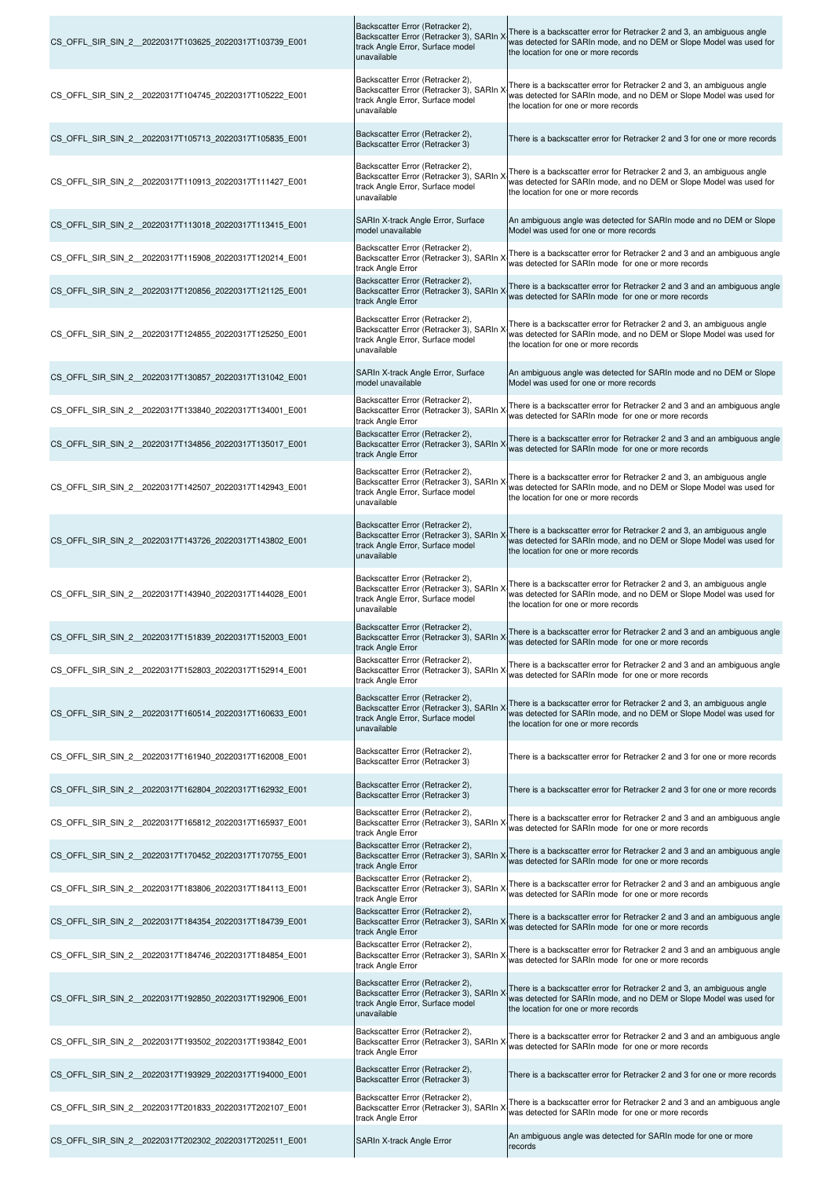| CS_OFFL_SIR_SIN_2_20220317T103625_20220317T103739_E001  | Backscatter Error (Retracker 2),<br>Backscatter Error (Retracker 3), SARIn )<br>track Angle Error, Surface model<br>unavailable | There is a backscatter error for Retracker 2 and 3, an ambiguous angle<br>was detected for SARIn mode, and no DEM or Slope Model was used for<br>the location for one or more records |
|---------------------------------------------------------|---------------------------------------------------------------------------------------------------------------------------------|---------------------------------------------------------------------------------------------------------------------------------------------------------------------------------------|
| CS OFFL SIR SIN 2 20220317T104745 20220317T105222 E001  | Backscatter Error (Retracker 2),<br>Backscatter Error (Retracker 3), SARIn ><br>track Angle Error, Surface model<br>unavailable | There is a backscatter error for Retracker 2 and 3, an ambiguous angle<br>was detected for SARIn mode, and no DEM or Slope Model was used for<br>the location for one or more records |
| CS OFFL SIR SIN 2 20220317T105713 20220317T105835 E001  | Backscatter Error (Retracker 2),<br>Backscatter Error (Retracker 3)                                                             | There is a backscatter error for Retracker 2 and 3 for one or more records                                                                                                            |
| CS OFFL SIR SIN 2 20220317T110913 20220317T111427 E001  | Backscatter Error (Retracker 2),<br>Backscatter Error (Retracker 3), SARIn )<br>track Angle Error, Surface model<br>unavailable | There is a backscatter error for Retracker 2 and 3, an ambiguous angle<br>was detected for SARIn mode, and no DEM or Slope Model was used for<br>the location for one or more records |
| CS OFFL SIR SIN 2 20220317T113018 20220317T113415 E001  | SARIn X-track Angle Error, Surface<br>model unavailable                                                                         | An ambiguous angle was detected for SARIn mode and no DEM or Slope<br>Model was used for one or more records                                                                          |
| CS OFFL SIR SIN 2 20220317T115908 20220317T120214 E001  | Backscatter Error (Retracker 2),<br>Backscatter Error (Retracker 3), SARIn ><br>track Angle Error                               | There is a backscatter error for Retracker 2 and 3 and an ambiguous angle<br>was detected for SARIn mode for one or more records                                                      |
| CS OFFL SIR SIN 2 20220317T120856 20220317T121125 E001  | Backscatter Error (Retracker 2),<br>Backscatter Error (Retracker 3), SARIn ><br>track Angle Error                               | There is a backscatter error for Retracker 2 and 3 and an ambiguous angle<br>was detected for SARIn mode for one or more records                                                      |
| CS_OFFL_SIR_SIN_2_20220317T124855_20220317T125250_E001  | Backscatter Error (Retracker 2),<br>Backscatter Error (Retracker 3), SARIn<br>track Angle Error, Surface model<br>unavailable   | There is a backscatter error for Retracker 2 and 3, an ambiguous angle<br>was detected for SARIn mode, and no DEM or Slope Model was used for<br>the location for one or more records |
| CS_OFFL_SIR_SIN_2_20220317T130857_20220317T131042_E001  | SARIn X-track Angle Error, Surface<br>model unavailable                                                                         | An ambiguous angle was detected for SARIn mode and no DEM or Slope<br>Model was used for one or more records                                                                          |
| CS OFFL SIR SIN 2 20220317T133840 20220317T134001 E001  | Backscatter Error (Retracker 2),<br>Backscatter Error (Retracker 3), SARIn ><br>track Angle Error                               | There is a backscatter error for Retracker 2 and 3 and an ambiguous angle<br>was detected for SARIn mode for one or more records                                                      |
| CS_OFFL_SIR_SIN_2_20220317T134856_20220317T135017_E001  | Backscatter Error (Retracker 2),<br>Backscatter Error (Retracker 3), SARIn ><br>track Angle Error                               | There is a backscatter error for Retracker 2 and 3 and an ambiguous angle<br>was detected for SARIn mode for one or more records                                                      |
| CS_OFFL_SIR_SIN_2_20220317T142507_20220317T142943_E001  | Backscatter Error (Retracker 2),<br>Backscatter Error (Retracker 3), SARIn )<br>track Angle Error, Surface model<br>unavailable | There is a backscatter error for Retracker 2 and 3, an ambiguous angle<br>was detected for SARIn mode, and no DEM or Slope Model was used for<br>the location for one or more records |
| CS OFFL SIR SIN_2 _20220317T143726_20220317T143802_E001 | Backscatter Error (Retracker 2),<br>Backscatter Error (Retracker 3), SARIn ><br>track Angle Error, Surface model<br>unavailable | There is a backscatter error for Retracker 2 and 3, an ambiguous angle<br>was detected for SARIn mode, and no DEM or Slope Model was used for<br>the location for one or more records |
| CS_OFFL_SIR_SIN_2_20220317T143940_20220317T144028_E001  | Backscatter Error (Retracker 2),<br>Backscatter Error (Retracker 3), SARIn )<br>track Angle Error, Surface model<br>unavailable | There is a backscatter error for Retracker 2 and 3, an ambiguous angle<br>was detected for SARIn mode, and no DEM or Slope Model was used for<br>the location for one or more records |
| CS_OFFL_SIR_SIN_2_20220317T151839_20220317T152003_E001  | Backscatter Error (Retracker 2),<br>Backscatter Error (Retracker 3), SARIn X<br>track Angle Error                               | There is a backscatter error for Retracker 2 and 3 and an ambiguous angle<br>was detected for SARIn mode for one or more records                                                      |
| CS OFFL SIR SIN 2 20220317T152803 20220317T152914 E001  | Backscatter Error (Retracker 2),<br>Backscatter Error (Retracker 3), SARIn X<br>track Angle Error                               | There is a backscatter error for Retracker 2 and 3 and an ambiguous angle<br>was detected for SARIn mode for one or more records                                                      |
| CS_OFFL_SIR_SIN_2_20220317T160514_20220317T160633_E001  | Backscatter Error (Retracker 2),<br>Backscatter Error (Retracker 3), SARIn )<br>track Angle Error, Surface model<br>unavailable | There is a backscatter error for Retracker 2 and 3, an ambiguous angle<br>was detected for SARIn mode, and no DEM or Slope Model was used for<br>the location for one or more records |
| CS OFFL SIR SIN 2 20220317T161940 20220317T162008 E001  | Backscatter Error (Retracker 2),<br>Backscatter Error (Retracker 3)                                                             | There is a backscatter error for Retracker 2 and 3 for one or more records                                                                                                            |
| CS_OFFL_SIR_SIN_2_20220317T162804_20220317T162932_E001  | Backscatter Error (Retracker 2),<br>Backscatter Error (Retracker 3)                                                             | There is a backscatter error for Retracker 2 and 3 for one or more records                                                                                                            |
| CS OFFL SIR SIN 2 20220317T165812 20220317T165937 E001  | Backscatter Error (Retracker 2),<br>Backscatter Error (Retracker 3), SARIn ><br>track Angle Error                               | There is a backscatter error for Retracker 2 and 3 and an ambiguous angle<br>was detected for SARIn mode for one or more records                                                      |
| CS OFFL SIR SIN 2 20220317T170452 20220317T170755 E001  | Backscatter Error (Retracker 2),<br>Backscatter Error (Retracker 3), SARIn ><br>track Angle Error                               | There is a backscatter error for Retracker 2 and 3 and an ambiguous angle<br>was detected for SARIn mode for one or more records                                                      |
| CS OFFL SIR SIN 2 20220317T183806 20220317T184113 E001  | Backscatter Error (Retracker 2),<br>Backscatter Error (Retracker 3), SARIn X<br>track Angle Error                               | There is a backscatter error for Retracker 2 and 3 and an ambiguous angle<br>was detected for SARIn mode for one or more records                                                      |
| CS_OFFL_SIR_SIN_2_20220317T184354_20220317T184739_E001  | Backscatter Error (Retracker 2),<br>Backscatter Error (Retracker 3), SARIn ><br>track Angle Error                               | There is a backscatter error for Retracker 2 and 3 and an ambiguous angle<br>was detected for SARIn mode for one or more records                                                      |
| CS OFFL SIR SIN 2 20220317T184746 20220317T184854 E001  | Backscatter Error (Retracker 2),<br>Backscatter Error (Retracker 3), SARIn ><br>track Angle Error                               | There is a backscatter error for Retracker 2 and 3 and an ambiguous angle<br>was detected for SARIn mode for one or more records                                                      |
| CS OFFL SIR SIN 2 20220317T192850 20220317T192906 E001  | Backscatter Error (Retracker 2),<br>Backscatter Error (Retracker 3), SARIn ><br>track Angle Error, Surface model<br>unavailable | There is a backscatter error for Retracker 2 and 3, an ambiguous angle<br>was detected for SARIn mode, and no DEM or Slope Model was used for<br>the location for one or more records |
| CS OFFL SIR SIN 2 20220317T193502 20220317T193842 E001  | Backscatter Error (Retracker 2),<br>Backscatter Error (Retracker 3), SARIn )<br>track Angle Error                               | There is a backscatter error for Retracker 2 and 3 and an ambiguous angle<br>was detected for SARIn mode for one or more records                                                      |
| CS_OFFL_SIR_SIN_2_20220317T193929_20220317T194000_E001  | Backscatter Error (Retracker 2),<br>Backscatter Error (Retracker 3)                                                             | There is a backscatter error for Retracker 2 and 3 for one or more records                                                                                                            |
| CS OFFL SIR SIN 2 20220317T201833 20220317T202107 E001  | Backscatter Error (Retracker 2),<br>Backscatter Error (Retracker 3), SARIn ><br>track Angle Error                               | There is a backscatter error for Retracker 2 and 3 and an ambiguous angle<br>was detected for SARIn mode for one or more records                                                      |
| CS OFFL SIR SIN 2 20220317T202302 20220317T202511 E001  | SARIn X-track Angle Error                                                                                                       | An ambiguous angle was detected for SARIn mode for one or more<br>records                                                                                                             |

 $\overline{1}$ 

 $\overline{\phantom{a}}$